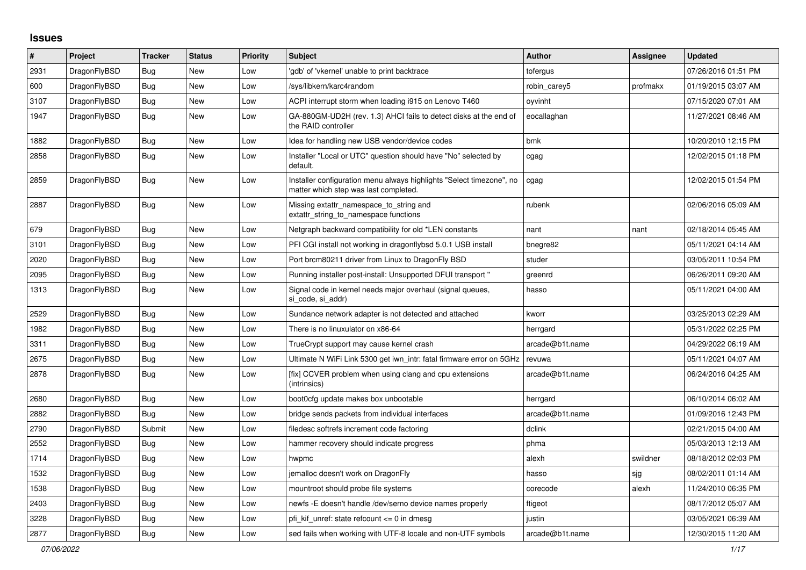## **Issues**

| $\#$ | Project      | <b>Tracker</b> | <b>Status</b> | <b>Priority</b> | <b>Subject</b>                                                                                                | <b>Author</b>   | Assignee | <b>Updated</b>      |
|------|--------------|----------------|---------------|-----------------|---------------------------------------------------------------------------------------------------------------|-----------------|----------|---------------------|
| 2931 | DragonFlyBSD | <b>Bug</b>     | New           | Low             | 'gdb' of 'vkernel' unable to print backtrace                                                                  | tofergus        |          | 07/26/2016 01:51 PM |
| 600  | DragonFlyBSD | <b>Bug</b>     | New           | Low             | /sys/libkern/karc4random                                                                                      | robin_carey5    | profmakx | 01/19/2015 03:07 AM |
| 3107 | DragonFlyBSD | Bug            | New           | Low             | ACPI interrupt storm when loading i915 on Lenovo T460                                                         | ovvinht         |          | 07/15/2020 07:01 AM |
| 1947 | DragonFlyBSD | <b>Bug</b>     | New           | Low             | GA-880GM-UD2H (rev. 1.3) AHCI fails to detect disks at the end of<br>the RAID controller                      | eocallaghan     |          | 11/27/2021 08:46 AM |
| 1882 | DragonFlyBSD | Bug            | New           | Low             | Idea for handling new USB vendor/device codes                                                                 | bmk             |          | 10/20/2010 12:15 PM |
| 2858 | DragonFlyBSD | Bug            | <b>New</b>    | Low             | Installer "Local or UTC" question should have "No" selected by<br>default.                                    | cgag            |          | 12/02/2015 01:18 PM |
| 2859 | DragonFlyBSD | <b>Bug</b>     | New           | Low             | Installer configuration menu always highlights "Select timezone", no<br>matter which step was last completed. | cgag            |          | 12/02/2015 01:54 PM |
| 2887 | DragonFlyBSD | Bug            | <b>New</b>    | Low             | Missing extattr_namespace_to_string and<br>extattr_string_to_namespace functions                              | rubenk          |          | 02/06/2016 05:09 AM |
| 679  | DragonFlyBSD | <b>Bug</b>     | New           | Low             | Netgraph backward compatibility for old *LEN constants                                                        | nant            | nant     | 02/18/2014 05:45 AM |
| 3101 | DragonFlyBSD | Bug            | <b>New</b>    | Low             | PFI CGI install not working in dragonflybsd 5.0.1 USB install                                                 | bnegre82        |          | 05/11/2021 04:14 AM |
| 2020 | DragonFlyBSD | Bug            | New           | Low             | Port brcm80211 driver from Linux to DragonFly BSD                                                             | studer          |          | 03/05/2011 10:54 PM |
| 2095 | DragonFlyBSD | <b>Bug</b>     | New           | Low             | Running installer post-install: Unsupported DFUI transport"                                                   | greenrd         |          | 06/26/2011 09:20 AM |
| 1313 | DragonFlyBSD | <b>Bug</b>     | New           | Low             | Signal code in kernel needs major overhaul (signal queues,<br>si code, si addr)                               | hasso           |          | 05/11/2021 04:00 AM |
| 2529 | DragonFlyBSD | Bug            | New           | Low             | Sundance network adapter is not detected and attached                                                         | kworr           |          | 03/25/2013 02:29 AM |
| 1982 | DragonFlyBSD | <b>Bug</b>     | New           | Low             | There is no linuxulator on x86-64                                                                             | herrgard        |          | 05/31/2022 02:25 PM |
| 3311 | DragonFlyBSD | <b>Bug</b>     | New           | Low             | TrueCrypt support may cause kernel crash                                                                      | arcade@b1t.name |          | 04/29/2022 06:19 AM |
| 2675 | DragonFlyBSD | Bug            | New           | Low             | Ultimate N WiFi Link 5300 get iwn intr: fatal firmware error on 5GHz                                          | revuwa          |          | 05/11/2021 04:07 AM |
| 2878 | DragonFlyBSD | Bug            | <b>New</b>    | Low             | [fix] CCVER problem when using clang and cpu extensions<br>(intrinsics)                                       | arcade@b1t.name |          | 06/24/2016 04:25 AM |
| 2680 | DragonFlyBSD | <b>Bug</b>     | <b>New</b>    | Low             | boot0cfg update makes box unbootable                                                                          | herrgard        |          | 06/10/2014 06:02 AM |
| 2882 | DragonFlyBSD | Bug            | New           | Low             | bridge sends packets from individual interfaces                                                               | arcade@b1t.name |          | 01/09/2016 12:43 PM |
| 2790 | DragonFlyBSD | Submit         | New           | Low             | filedesc softrefs increment code factoring                                                                    | dclink          |          | 02/21/2015 04:00 AM |
| 2552 | DragonFlyBSD | Bug            | New           | Low             | hammer recovery should indicate progress                                                                      | phma            |          | 05/03/2013 12:13 AM |
| 1714 | DragonFlyBSD | <b>Bug</b>     | New           | Low             | hwpmc                                                                                                         | alexh           | swildner | 08/18/2012 02:03 PM |
| 1532 | DragonFlyBSD | <b>Bug</b>     | New           | Low             | jemalloc doesn't work on DragonFly                                                                            | hasso           | sjg      | 08/02/2011 01:14 AM |
| 1538 | DragonFlyBSD | Bug            | New           | Low             | mountroot should probe file systems                                                                           | corecode        | alexh    | 11/24/2010 06:35 PM |
| 2403 | DragonFlyBSD | Bug            | New           | Low             | newfs -E doesn't handle /dev/serno device names properly                                                      | ftigeot         |          | 08/17/2012 05:07 AM |
| 3228 | DragonFlyBSD | Bug            | <b>New</b>    | Low             | pfi kif unref: state refcount <= 0 in dmesg                                                                   | justin          |          | 03/05/2021 06:39 AM |
| 2877 | DragonFlyBSD | <b>Bug</b>     | New           | Low             | sed fails when working with UTF-8 locale and non-UTF symbols                                                  | arcade@b1t.name |          | 12/30/2015 11:20 AM |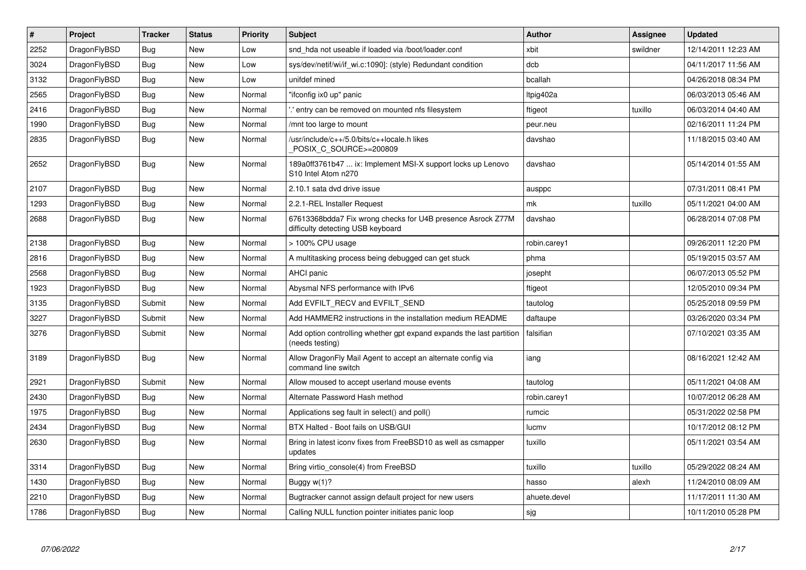| $\vert$ # | Project      | <b>Tracker</b> | <b>Status</b> | <b>Priority</b> | <b>Subject</b>                                                                                   | <b>Author</b> | Assignee | <b>Updated</b>      |
|-----------|--------------|----------------|---------------|-----------------|--------------------------------------------------------------------------------------------------|---------------|----------|---------------------|
| 2252      | DragonFlyBSD | <b>Bug</b>     | <b>New</b>    | Low             | snd hda not useable if loaded via /boot/loader.conf                                              | xbit          | swildner | 12/14/2011 12:23 AM |
| 3024      | DragonFlyBSD | Bug            | <b>New</b>    | Low             | sys/dev/netif/wi/if wi.c:1090]: (style) Redundant condition                                      | dcb           |          | 04/11/2017 11:56 AM |
| 3132      | DragonFlyBSD | <b>Bug</b>     | <b>New</b>    | Low             | unifdef mined                                                                                    | bcallah       |          | 04/26/2018 08:34 PM |
| 2565      | DragonFlyBSD | <b>Bug</b>     | New           | Normal          | "ifconfig ix0 up" panic                                                                          | Itpig402a     |          | 06/03/2013 05:46 AM |
| 2416      | DragonFlyBSD | <b>Bug</b>     | <b>New</b>    | Normal          | entry can be removed on mounted nfs filesystem                                                   | ftigeot       | tuxillo  | 06/03/2014 04:40 AM |
| 1990      | DragonFlyBSD | <b>Bug</b>     | <b>New</b>    | Normal          | /mnt too large to mount                                                                          | peur.neu      |          | 02/16/2011 11:24 PM |
| 2835      | DragonFlyBSD | <b>Bug</b>     | <b>New</b>    | Normal          | /usr/include/c++/5.0/bits/c++locale.h likes<br>POSIX C SOURCE>=200809                            | davshao       |          | 11/18/2015 03:40 AM |
| 2652      | DragonFlyBSD | Bug            | <b>New</b>    | Normal          | 189a0ff3761b47  ix: Implement MSI-X support locks up Lenovo<br>S10 Intel Atom n270               | davshao       |          | 05/14/2014 01:55 AM |
| 2107      | DragonFlyBSD | <b>Bug</b>     | <b>New</b>    | Normal          | 2.10.1 sata dvd drive issue                                                                      | ausppc        |          | 07/31/2011 08:41 PM |
| 1293      | DragonFlyBSD | <b>Bug</b>     | <b>New</b>    | Normal          | 2.2.1-REL Installer Request                                                                      | mk            | tuxillo  | 05/11/2021 04:00 AM |
| 2688      | DragonFlyBSD | <b>Bug</b>     | <b>New</b>    | Normal          | 67613368bdda7 Fix wrong checks for U4B presence Asrock Z77M<br>difficulty detecting USB keyboard | davshao       |          | 06/28/2014 07:08 PM |
| 2138      | DragonFlyBSD | <b>Bug</b>     | <b>New</b>    | Normal          | > 100% CPU usage                                                                                 | robin.carey1  |          | 09/26/2011 12:20 PM |
| 2816      | DragonFlyBSD | Bug            | <b>New</b>    | Normal          | A multitasking process being debugged can get stuck                                              | phma          |          | 05/19/2015 03:57 AM |
| 2568      | DragonFlyBSD | <b>Bug</b>     | <b>New</b>    | Normal          | <b>AHCI</b> panic                                                                                | josepht       |          | 06/07/2013 05:52 PM |
| 1923      | DragonFlyBSD | Bug            | <b>New</b>    | Normal          | Abysmal NFS performance with IPv6                                                                | ftigeot       |          | 12/05/2010 09:34 PM |
| 3135      | DragonFlyBSD | Submit         | <b>New</b>    | Normal          | Add EVFILT RECV and EVFILT SEND                                                                  | tautolog      |          | 05/25/2018 09:59 PM |
| 3227      | DragonFlyBSD | Submit         | <b>New</b>    | Normal          | Add HAMMER2 instructions in the installation medium README                                       | daftaupe      |          | 03/26/2020 03:34 PM |
| 3276      | DragonFlyBSD | Submit         | <b>New</b>    | Normal          | Add option controlling whether gpt expand expands the last partition<br>(needs testing)          | falsifian     |          | 07/10/2021 03:35 AM |
| 3189      | DragonFlyBSD | Bug            | <b>New</b>    | Normal          | Allow DragonFly Mail Agent to accept an alternate config via<br>command line switch              | iang          |          | 08/16/2021 12:42 AM |
| 2921      | DragonFlyBSD | Submit         | <b>New</b>    | Normal          | Allow moused to accept userland mouse events                                                     | tautolog      |          | 05/11/2021 04:08 AM |
| 2430      | DragonFlyBSD | <b>Bug</b>     | <b>New</b>    | Normal          | Alternate Password Hash method                                                                   | robin.carey1  |          | 10/07/2012 06:28 AM |
| 1975      | DragonFlyBSD | <b>Bug</b>     | <b>New</b>    | Normal          | Applications seg fault in select() and poll()                                                    | rumcic        |          | 05/31/2022 02:58 PM |
| 2434      | DragonFlyBSD | Bug            | <b>New</b>    | Normal          | BTX Halted - Boot fails on USB/GUI                                                               | lucmv         |          | 10/17/2012 08:12 PM |
| 2630      | DragonFlyBSD | <b>Bug</b>     | <b>New</b>    | Normal          | Bring in latest iconv fixes from FreeBSD10 as well as csmapper<br>updates                        | tuxillo       |          | 05/11/2021 03:54 AM |
| 3314      | DragonFlyBSD | <b>Bug</b>     | <b>New</b>    | Normal          | Bring virtio_console(4) from FreeBSD                                                             | tuxillo       | tuxillo  | 05/29/2022 08:24 AM |
| 1430      | DragonFlyBSD | Bug            | <b>New</b>    | Normal          | Buggy $w(1)$ ?                                                                                   | hasso         | alexh    | 11/24/2010 08:09 AM |
| 2210      | DragonFlyBSD | <b>Bug</b>     | <b>New</b>    | Normal          | Bugtracker cannot assign default project for new users                                           | ahuete.devel  |          | 11/17/2011 11:30 AM |
| 1786      | DragonFlyBSD | <b>Bug</b>     | <b>New</b>    | Normal          | Calling NULL function pointer initiates panic loop                                               | sjg           |          | 10/11/2010 05:28 PM |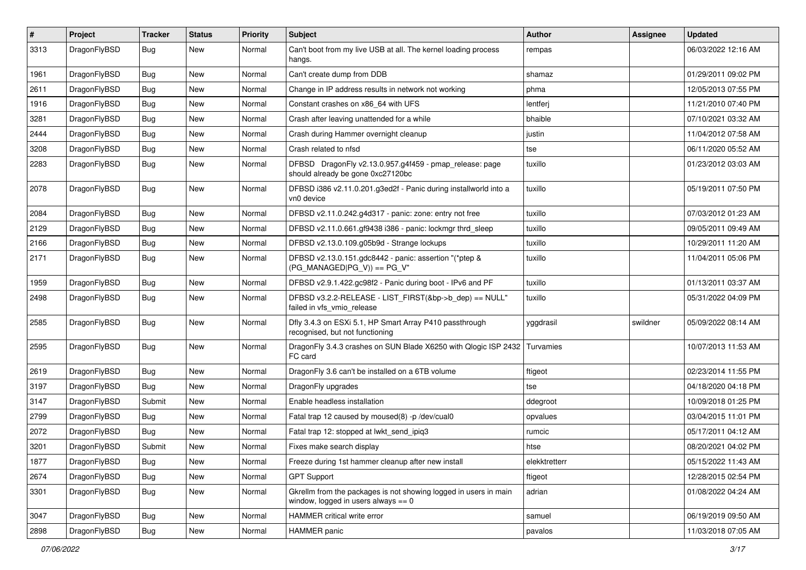| $\vert$ # | Project      | <b>Tracker</b> | <b>Status</b> | <b>Priority</b> | <b>Subject</b>                                                                                            | Author        | Assignee | <b>Updated</b>      |
|-----------|--------------|----------------|---------------|-----------------|-----------------------------------------------------------------------------------------------------------|---------------|----------|---------------------|
| 3313      | DragonFlyBSD | Bug            | New           | Normal          | Can't boot from my live USB at all. The kernel loading process<br>hangs.                                  | rempas        |          | 06/03/2022 12:16 AM |
| 1961      | DragonFlyBSD | <b>Bug</b>     | New           | Normal          | Can't create dump from DDB                                                                                | shamaz        |          | 01/29/2011 09:02 PM |
| 2611      | DragonFlyBSD | Bug            | <b>New</b>    | Normal          | Change in IP address results in network not working                                                       | phma          |          | 12/05/2013 07:55 PM |
| 1916      | DragonFlyBSD | <b>Bug</b>     | <b>New</b>    | Normal          | Constant crashes on x86_64 with UFS                                                                       | lentferj      |          | 11/21/2010 07:40 PM |
| 3281      | DragonFlyBSD | <b>Bug</b>     | New           | Normal          | Crash after leaving unattended for a while                                                                | bhaible       |          | 07/10/2021 03:32 AM |
| 2444      | DragonFlyBSD | Bug            | <b>New</b>    | Normal          | Crash during Hammer overnight cleanup                                                                     | justin        |          | 11/04/2012 07:58 AM |
| 3208      | DragonFlyBSD | <b>Bug</b>     | New           | Normal          | Crash related to nfsd                                                                                     | tse           |          | 06/11/2020 05:52 AM |
| 2283      | DragonFlyBSD | Bug            | New           | Normal          | DFBSD DragonFly v2.13.0.957.g4f459 - pmap_release: page<br>should already be gone 0xc27120bc              | tuxillo       |          | 01/23/2012 03:03 AM |
| 2078      | DragonFlyBSD | Bug            | New           | Normal          | DFBSD i386 v2.11.0.201.g3ed2f - Panic during installworld into a<br>vn0 device                            | tuxillo       |          | 05/19/2011 07:50 PM |
| 2084      | DragonFlyBSD | Bug            | <b>New</b>    | Normal          | DFBSD v2.11.0.242.g4d317 - panic: zone: entry not free                                                    | tuxillo       |          | 07/03/2012 01:23 AM |
| 2129      | DragonFlyBSD | Bug            | New           | Normal          | DFBSD v2.11.0.661.gf9438 i386 - panic: lockmgr thrd sleep                                                 | tuxillo       |          | 09/05/2011 09:49 AM |
| 2166      | DragonFlyBSD | Bug            | <b>New</b>    | Normal          | DFBSD v2.13.0.109.g05b9d - Strange lockups                                                                | tuxillo       |          | 10/29/2011 11:20 AM |
| 2171      | DragonFlyBSD | Bug            | New           | Normal          | DFBSD v2.13.0.151.gdc8442 - panic: assertion "(*ptep &<br>$(PG_MANAGED PG_V)$ == PG_V"                    | tuxillo       |          | 11/04/2011 05:06 PM |
| 1959      | DragonFlyBSD | Bug            | <b>New</b>    | Normal          | DFBSD v2.9.1.422.gc98f2 - Panic during boot - IPv6 and PF                                                 | tuxillo       |          | 01/13/2011 03:37 AM |
| 2498      | DragonFlyBSD | <b>Bug</b>     | New           | Normal          | DFBSD v3.2.2-RELEASE - LIST_FIRST(&bp->b_dep) == NULL"<br>failed in vfs vmio release                      | tuxillo       |          | 05/31/2022 04:09 PM |
| 2585      | DragonFlyBSD | Bug            | New           | Normal          | Dfly 3.4.3 on ESXi 5.1, HP Smart Array P410 passthrough<br>recognised, but not functioning                | yggdrasil     | swildner | 05/09/2022 08:14 AM |
| 2595      | DragonFlyBSD | Bug            | New           | Normal          | DragonFly 3.4.3 crashes on SUN Blade X6250 with Qlogic ISP 2432<br>FC card                                | Turvamies     |          | 10/07/2013 11:53 AM |
| 2619      | DragonFlyBSD | <b>Bug</b>     | New           | Normal          | DragonFly 3.6 can't be installed on a 6TB volume                                                          | ftigeot       |          | 02/23/2014 11:55 PM |
| 3197      | DragonFlyBSD | Bug            | <b>New</b>    | Normal          | DragonFly upgrades                                                                                        | tse           |          | 04/18/2020 04:18 PM |
| 3147      | DragonFlyBSD | Submit         | New           | Normal          | Enable headless installation                                                                              | ddegroot      |          | 10/09/2018 01:25 PM |
| 2799      | DragonFlyBSD | Bug            | <b>New</b>    | Normal          | Fatal trap 12 caused by moused(8) -p /dev/cual0                                                           | opvalues      |          | 03/04/2015 11:01 PM |
| 2072      | DragonFlyBSD | Bug            | <b>New</b>    | Normal          | Fatal trap 12: stopped at lwkt_send_ipiq3                                                                 | rumcic        |          | 05/17/2011 04:12 AM |
| 3201      | DragonFlyBSD | Submit         | New           | Normal          | Fixes make search display                                                                                 | htse          |          | 08/20/2021 04:02 PM |
| 1877      | DragonFlyBSD | Bug            | New           | Normal          | Freeze during 1st hammer cleanup after new install                                                        | elekktretterr |          | 05/15/2022 11:43 AM |
| 2674      | DragonFlyBSD | <b>Bug</b>     | New           | Normal          | <b>GPT Support</b>                                                                                        | ftigeot       |          | 12/28/2015 02:54 PM |
| 3301      | DragonFlyBSD | <b>Bug</b>     | New           | Normal          | Gkrellm from the packages is not showing logged in users in main<br>window, logged in users always $== 0$ | adrian        |          | 01/08/2022 04:24 AM |
| 3047      | DragonFlyBSD | <b>Bug</b>     | New           | Normal          | HAMMER critical write error                                                                               | samuel        |          | 06/19/2019 09:50 AM |
| 2898      | DragonFlyBSD | <b>Bug</b>     | New           | Normal          | HAMMER panic                                                                                              | pavalos       |          | 11/03/2018 07:05 AM |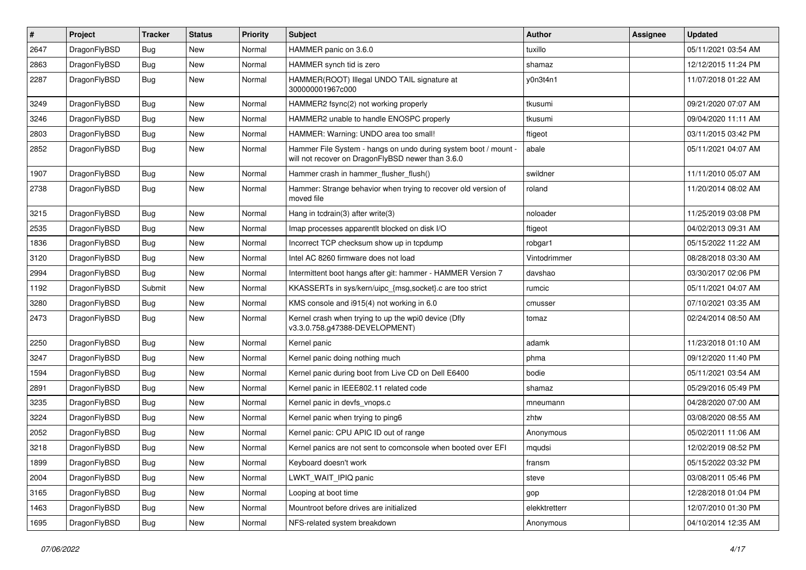| #    | Project      | <b>Tracker</b> | <b>Status</b> | <b>Priority</b> | Subject                                                                                                              | <b>Author</b> | Assignee | <b>Updated</b>      |
|------|--------------|----------------|---------------|-----------------|----------------------------------------------------------------------------------------------------------------------|---------------|----------|---------------------|
| 2647 | DragonFlyBSD | Bug            | New           | Normal          | HAMMER panic on 3.6.0                                                                                                | tuxillo       |          | 05/11/2021 03:54 AM |
| 2863 | DragonFlyBSD | Bug            | New           | Normal          | HAMMER synch tid is zero                                                                                             | shamaz        |          | 12/12/2015 11:24 PM |
| 2287 | DragonFlyBSD | Bug            | New           | Normal          | HAMMER(ROOT) Illegal UNDO TAIL signature at<br>300000001967c000                                                      | y0n3t4n1      |          | 11/07/2018 01:22 AM |
| 3249 | DragonFlyBSD | Bug            | <b>New</b>    | Normal          | HAMMER2 fsync(2) not working properly                                                                                | tkusumi       |          | 09/21/2020 07:07 AM |
| 3246 | DragonFlyBSD | Bug            | New           | Normal          | HAMMER2 unable to handle ENOSPC properly                                                                             | tkusumi       |          | 09/04/2020 11:11 AM |
| 2803 | DragonFlyBSD | Bug            | New           | Normal          | HAMMER: Warning: UNDO area too small!                                                                                | ftigeot       |          | 03/11/2015 03:42 PM |
| 2852 | DragonFlyBSD | Bug            | New           | Normal          | Hammer File System - hangs on undo during system boot / mount -<br>will not recover on DragonFlyBSD newer than 3.6.0 | abale         |          | 05/11/2021 04:07 AM |
| 1907 | DragonFlyBSD | Bug            | New           | Normal          | Hammer crash in hammer_flusher_flush()                                                                               | swildner      |          | 11/11/2010 05:07 AM |
| 2738 | DragonFlyBSD | Bug            | <b>New</b>    | Normal          | Hammer: Strange behavior when trying to recover old version of<br>moved file                                         | roland        |          | 11/20/2014 08:02 AM |
| 3215 | DragonFlyBSD | Bug            | <b>New</b>    | Normal          | Hang in tcdrain(3) after write(3)                                                                                    | noloader      |          | 11/25/2019 03:08 PM |
| 2535 | DragonFlyBSD | Bug            | New           | Normal          | Imap processes apparentlt blocked on disk I/O                                                                        | ftigeot       |          | 04/02/2013 09:31 AM |
| 1836 | DragonFlyBSD | Bug            | New           | Normal          | Incorrect TCP checksum show up in tcpdump                                                                            | robgar1       |          | 05/15/2022 11:22 AM |
| 3120 | DragonFlyBSD | <b>Bug</b>     | New           | Normal          | Intel AC 8260 firmware does not load                                                                                 | Vintodrimmer  |          | 08/28/2018 03:30 AM |
| 2994 | DragonFlyBSD | <b>Bug</b>     | New           | Normal          | Intermittent boot hangs after git: hammer - HAMMER Version 7                                                         | davshao       |          | 03/30/2017 02:06 PM |
| 1192 | DragonFlyBSD | Submit         | <b>New</b>    | Normal          | KKASSERTs in sys/kern/uipc_{msg,socket}.c are too strict                                                             | rumcic        |          | 05/11/2021 04:07 AM |
| 3280 | DragonFlyBSD | <b>Bug</b>     | New           | Normal          | KMS console and i915(4) not working in 6.0                                                                           | cmusser       |          | 07/10/2021 03:35 AM |
| 2473 | DragonFlyBSD | <b>Bug</b>     | New           | Normal          | Kernel crash when trying to up the wpi0 device (Dfly<br>v3.3.0.758.g47388-DEVELOPMENT)                               | tomaz         |          | 02/24/2014 08:50 AM |
| 2250 | DragonFlyBSD | Bug            | New           | Normal          | Kernel panic                                                                                                         | adamk         |          | 11/23/2018 01:10 AM |
| 3247 | DragonFlyBSD | Bug            | <b>New</b>    | Normal          | Kernel panic doing nothing much                                                                                      | phma          |          | 09/12/2020 11:40 PM |
| 1594 | DragonFlyBSD | <b>Bug</b>     | New           | Normal          | Kernel panic during boot from Live CD on Dell E6400                                                                  | bodie         |          | 05/11/2021 03:54 AM |
| 2891 | DragonFlyBSD | <b>Bug</b>     | New           | Normal          | Kernel panic in IEEE802.11 related code                                                                              | shamaz        |          | 05/29/2016 05:49 PM |
| 3235 | DragonFlyBSD | Bug            | <b>New</b>    | Normal          | Kernel panic in devfs_vnops.c                                                                                        | mneumann      |          | 04/28/2020 07:00 AM |
| 3224 | DragonFlyBSD | <b>Bug</b>     | New           | Normal          | Kernel panic when trying to ping6                                                                                    | zhtw          |          | 03/08/2020 08:55 AM |
| 2052 | DragonFlyBSD | <b>Bug</b>     | <b>New</b>    | Normal          | Kernel panic: CPU APIC ID out of range                                                                               | Anonymous     |          | 05/02/2011 11:06 AM |
| 3218 | DragonFlyBSD | Bug            | New           | Normal          | Kernel panics are not sent to comconsole when booted over EFI                                                        | mqudsi        |          | 12/02/2019 08:52 PM |
| 1899 | DragonFlyBSD | <b>Bug</b>     | New           | Normal          | Keyboard doesn't work                                                                                                | fransm        |          | 05/15/2022 03:32 PM |
| 2004 | DragonFlyBSD | <b>Bug</b>     | <b>New</b>    | Normal          | LWKT_WAIT_IPIQ panic                                                                                                 | steve         |          | 03/08/2011 05:46 PM |
| 3165 | DragonFlyBSD | <b>Bug</b>     | New           | Normal          | Looping at boot time                                                                                                 | gop           |          | 12/28/2018 01:04 PM |
| 1463 | DragonFlyBSD | <b>Bug</b>     | New           | Normal          | Mountroot before drives are initialized                                                                              | elekktretterr |          | 12/07/2010 01:30 PM |
| 1695 | DragonFlyBSD | <b>Bug</b>     | New           | Normal          | NFS-related system breakdown                                                                                         | Anonymous     |          | 04/10/2014 12:35 AM |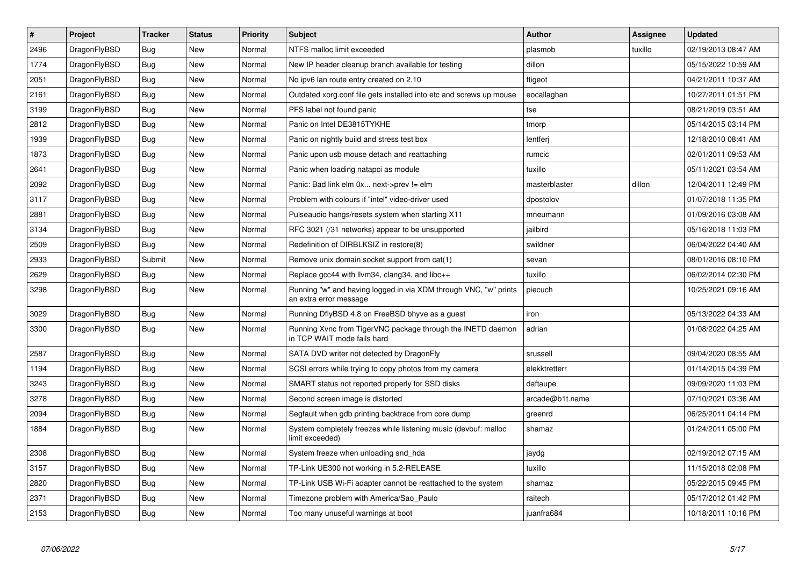| $\pmb{\#}$ | <b>Project</b> | <b>Tracker</b> | <b>Status</b> | <b>Priority</b> | <b>Subject</b>                                                                             | <b>Author</b>   | Assignee | <b>Updated</b>      |
|------------|----------------|----------------|---------------|-----------------|--------------------------------------------------------------------------------------------|-----------------|----------|---------------------|
| 2496       | DragonFlyBSD   | <b>Bug</b>     | <b>New</b>    | Normal          | NTFS malloc limit exceeded                                                                 | plasmob         | tuxillo  | 02/19/2013 08:47 AM |
| 1774       | DragonFlyBSD   | Bug            | <b>New</b>    | Normal          | New IP header cleanup branch available for testing                                         | dillon          |          | 05/15/2022 10:59 AM |
| 2051       | DragonFlyBSD   | Bug            | <b>New</b>    | Normal          | No ipv6 lan route entry created on 2.10                                                    | ftigeot         |          | 04/21/2011 10:37 AM |
| 2161       | DragonFlyBSD   | Bug            | <b>New</b>    | Normal          | Outdated xorg.conf file gets installed into etc and screws up mouse                        | eocallaghan     |          | 10/27/2011 01:51 PM |
| 3199       | DragonFlyBSD   | <b>Bug</b>     | <b>New</b>    | Normal          | PFS label not found panic                                                                  | tse             |          | 08/21/2019 03:51 AM |
| 2812       | DragonFlyBSD   | Bug            | <b>New</b>    | Normal          | Panic on Intel DE3815TYKHE                                                                 | tmorp           |          | 05/14/2015 03:14 PM |
| 1939       | DragonFlyBSD   | Bug            | <b>New</b>    | Normal          | Panic on nightly build and stress test box                                                 | lentferj        |          | 12/18/2010 08:41 AM |
| 1873       | DragonFlyBSD   | Bug            | <b>New</b>    | Normal          | Panic upon usb mouse detach and reattaching                                                | rumcic          |          | 02/01/2011 09:53 AM |
| 2641       | DragonFlyBSD   | Bug            | <b>New</b>    | Normal          | Panic when loading natapci as module                                                       | tuxillo         |          | 05/11/2021 03:54 AM |
| 2092       | DragonFlyBSD   | Bug            | <b>New</b>    | Normal          | Panic: Bad link elm 0x next->prev != elm                                                   | masterblaster   | dillon   | 12/04/2011 12:49 PM |
| 3117       | DragonFlyBSD   | Bug            | <b>New</b>    | Normal          | Problem with colours if "intel" video-driver used                                          | dpostolov       |          | 01/07/2018 11:35 PM |
| 2881       | DragonFlyBSD   | Bug            | <b>New</b>    | Normal          | Pulseaudio hangs/resets system when starting X11                                           | mneumann        |          | 01/09/2016 03:08 AM |
| 3134       | DragonFlyBSD   | <b>Bug</b>     | <b>New</b>    | Normal          | RFC 3021 (/31 networks) appear to be unsupported                                           | jailbird        |          | 05/16/2018 11:03 PM |
| 2509       | DragonFlyBSD   | Bug            | New           | Normal          | Redefinition of DIRBLKSIZ in restore(8)                                                    | swildner        |          | 06/04/2022 04:40 AM |
| 2933       | DragonFlyBSD   | Submit         | <b>New</b>    | Normal          | Remove unix domain socket support from cat(1)                                              | sevan           |          | 08/01/2016 08:10 PM |
| 2629       | DragonFlyBSD   | Bug            | <b>New</b>    | Normal          | Replace gcc44 with llvm34, clang34, and libc++                                             | tuxillo         |          | 06/02/2014 02:30 PM |
| 3298       | DragonFlyBSD   | <b>Bug</b>     | <b>New</b>    | Normal          | Running "w" and having logged in via XDM through VNC, "w" prints<br>an extra error message | piecuch         |          | 10/25/2021 09:16 AM |
| 3029       | DragonFlyBSD   | <b>Bug</b>     | <b>New</b>    | Normal          | Running DflyBSD 4.8 on FreeBSD bhyve as a guest                                            | iron            |          | 05/13/2022 04:33 AM |
| 3300       | DragonFlyBSD   | Bug            | <b>New</b>    | Normal          | Running Xvnc from TigerVNC package through the INETD daemon<br>in TCP WAIT mode fails hard | adrian          |          | 01/08/2022 04:25 AM |
| 2587       | DragonFlyBSD   | Bug            | <b>New</b>    | Normal          | SATA DVD writer not detected by DragonFly                                                  | srussell        |          | 09/04/2020 08:55 AM |
| 1194       | DragonFlyBSD   | Bug            | <b>New</b>    | Normal          | SCSI errors while trying to copy photos from my camera                                     | elekktretterr   |          | 01/14/2015 04:39 PM |
| 3243       | DragonFlyBSD   | Bug            | <b>New</b>    | Normal          | SMART status not reported properly for SSD disks                                           | daftaupe        |          | 09/09/2020 11:03 PM |
| 3278       | DragonFlyBSD   | <b>Bug</b>     | <b>New</b>    | Normal          | Second screen image is distorted                                                           | arcade@b1t.name |          | 07/10/2021 03:36 AM |
| 2094       | DragonFlyBSD   | Bug            | <b>New</b>    | Normal          | Segfault when gdb printing backtrace from core dump                                        | greenrd         |          | 06/25/2011 04:14 PM |
| 1884       | DragonFlyBSD   | <b>Bug</b>     | <b>New</b>    | Normal          | System completely freezes while listening music (devbuf: malloc<br>limit exceeded)         | shamaz          |          | 01/24/2011 05:00 PM |
| 2308       | DragonFlyBSD   | <b>Bug</b>     | <b>New</b>    | Normal          | System freeze when unloading snd_hda                                                       | jaydg           |          | 02/19/2012 07:15 AM |
| 3157       | DragonFlyBSD   | Bug            | <b>New</b>    | Normal          | TP-Link UE300 not working in 5.2-RELEASE                                                   | tuxillo         |          | 11/15/2018 02:08 PM |
| 2820       | DragonFlyBSD   | Bug            | <b>New</b>    | Normal          | TP-Link USB Wi-Fi adapter cannot be reattached to the system                               | shamaz          |          | 05/22/2015 09:45 PM |
| 2371       | DragonFlyBSD   | Bug            | <b>New</b>    | Normal          | Timezone problem with America/Sao Paulo                                                    | raitech         |          | 05/17/2012 01:42 PM |
| 2153       | DragonFlyBSD   | Bug            | <b>New</b>    | Normal          | Too many unuseful warnings at boot                                                         | juanfra684      |          | 10/18/2011 10:16 PM |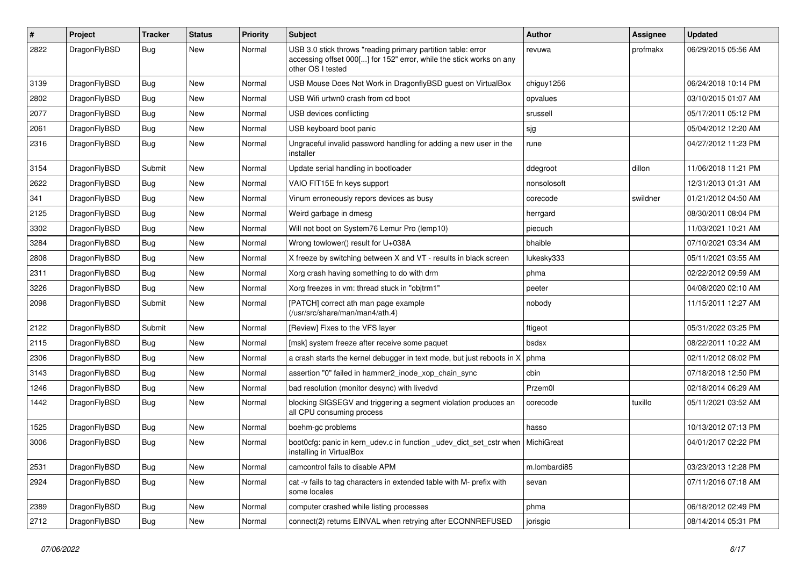| #    | Project      | <b>Tracker</b> | <b>Status</b> | <b>Priority</b> | Subject                                                                                                                                                  | <b>Author</b> | Assignee | <b>Updated</b>      |
|------|--------------|----------------|---------------|-----------------|----------------------------------------------------------------------------------------------------------------------------------------------------------|---------------|----------|---------------------|
| 2822 | DragonFlyBSD | Bug            | New           | Normal          | USB 3.0 stick throws "reading primary partition table: error<br>accessing offset 000[] for 152" error, while the stick works on any<br>other OS I tested | revuwa        | profmakx | 06/29/2015 05:56 AM |
| 3139 | DragonFlyBSD | Bug            | <b>New</b>    | Normal          | USB Mouse Does Not Work in DragonflyBSD guest on VirtualBox                                                                                              | chiguy1256    |          | 06/24/2018 10:14 PM |
| 2802 | DragonFlyBSD | Bug            | <b>New</b>    | Normal          | USB Wifi urtwn0 crash from cd boot                                                                                                                       | opvalues      |          | 03/10/2015 01:07 AM |
| 2077 | DragonFlyBSD | <b>Bug</b>     | New           | Normal          | USB devices conflicting                                                                                                                                  | srussell      |          | 05/17/2011 05:12 PM |
| 2061 | DragonFlyBSD | <b>Bug</b>     | <b>New</b>    | Normal          | USB keyboard boot panic                                                                                                                                  | sjg           |          | 05/04/2012 12:20 AM |
| 2316 | DragonFlyBSD | Bug            | New           | Normal          | Ungraceful invalid password handling for adding a new user in the<br>installer                                                                           | rune          |          | 04/27/2012 11:23 PM |
| 3154 | DragonFlyBSD | Submit         | <b>New</b>    | Normal          | Update serial handling in bootloader                                                                                                                     | ddegroot      | dillon   | 11/06/2018 11:21 PM |
| 2622 | DragonFlyBSD | Bug            | <b>New</b>    | Normal          | VAIO FIT15E fn keys support                                                                                                                              | nonsolosoft   |          | 12/31/2013 01:31 AM |
| 341  | DragonFlyBSD | <b>Bug</b>     | New           | Normal          | Vinum erroneously repors devices as busy                                                                                                                 | corecode      | swildner | 01/21/2012 04:50 AM |
| 2125 | DragonFlyBSD | <b>Bug</b>     | <b>New</b>    | Normal          | Weird garbage in dmesg                                                                                                                                   | herrgard      |          | 08/30/2011 08:04 PM |
| 3302 | DragonFlyBSD | <b>Bug</b>     | <b>New</b>    | Normal          | Will not boot on System76 Lemur Pro (lemp10)                                                                                                             | piecuch       |          | 11/03/2021 10:21 AM |
| 3284 | DragonFlyBSD | <b>Bug</b>     | <b>New</b>    | Normal          | Wrong towlower() result for U+038A                                                                                                                       | bhaible       |          | 07/10/2021 03:34 AM |
| 2808 | DragonFlyBSD | <b>Bug</b>     | New           | Normal          | X freeze by switching between X and VT - results in black screen                                                                                         | lukesky333    |          | 05/11/2021 03:55 AM |
| 2311 | DragonFlyBSD | <b>Bug</b>     | New           | Normal          | Xorg crash having something to do with drm                                                                                                               | phma          |          | 02/22/2012 09:59 AM |
| 3226 | DragonFlyBSD | Bug            | <b>New</b>    | Normal          | Xorg freezes in vm: thread stuck in "objtrm1"                                                                                                            | peeter        |          | 04/08/2020 02:10 AM |
| 2098 | DragonFlyBSD | Submit         | New           | Normal          | [PATCH] correct ath man page example<br>(/usr/src/share/man/man4/ath.4)                                                                                  | nobody        |          | 11/15/2011 12:27 AM |
| 2122 | DragonFlyBSD | Submit         | <b>New</b>    | Normal          | [Review] Fixes to the VFS layer                                                                                                                          | ftigeot       |          | 05/31/2022 03:25 PM |
| 2115 | DragonFlyBSD | <b>Bug</b>     | New           | Normal          | [msk] system freeze after receive some paquet                                                                                                            | bsdsx         |          | 08/22/2011 10:22 AM |
| 2306 | DragonFlyBSD | <b>Bug</b>     | <b>New</b>    | Normal          | a crash starts the kernel debugger in text mode, but just reboots in X                                                                                   | phma          |          | 02/11/2012 08:02 PM |
| 3143 | DragonFlyBSD | <b>Bug</b>     | New           | Normal          | assertion "0" failed in hammer2 inode xop chain sync                                                                                                     | cbin          |          | 07/18/2018 12:50 PM |
| 1246 | DragonFlyBSD | <b>Bug</b>     | New           | Normal          | bad resolution (monitor desync) with livedvd                                                                                                             | Przem0l       |          | 02/18/2014 06:29 AM |
| 1442 | DragonFlyBSD | Bug            | <b>New</b>    | Normal          | blocking SIGSEGV and triggering a segment violation produces an<br>all CPU consuming process                                                             | corecode      | tuxillo  | 05/11/2021 03:52 AM |
| 1525 | DragonFlyBSD | Bug            | <b>New</b>    | Normal          | boehm-gc problems                                                                                                                                        | hasso         |          | 10/13/2012 07:13 PM |
| 3006 | DragonFlyBSD | Bug            | <b>New</b>    | Normal          | boot0cfg: panic in kern_udev.c in function _udev_dict_set_cstr when<br>installing in VirtualBox                                                          | MichiGreat    |          | 04/01/2017 02:22 PM |
| 2531 | DragonFlyBSD | <b>Bug</b>     | New           | Normal          | camcontrol fails to disable APM                                                                                                                          | m.lombardi85  |          | 03/23/2013 12:28 PM |
| 2924 | DragonFlyBSD | <b>Bug</b>     | New           | Normal          | cat -v fails to tag characters in extended table with M- prefix with<br>some locales                                                                     | sevan         |          | 07/11/2016 07:18 AM |
| 2389 | DragonFlyBSD | <b>Bug</b>     | New           | Normal          | computer crashed while listing processes                                                                                                                 | phma          |          | 06/18/2012 02:49 PM |
| 2712 | DragonFlyBSD | Bug            | New           | Normal          | connect(2) returns EINVAL when retrying after ECONNREFUSED                                                                                               | jorisgio      |          | 08/14/2014 05:31 PM |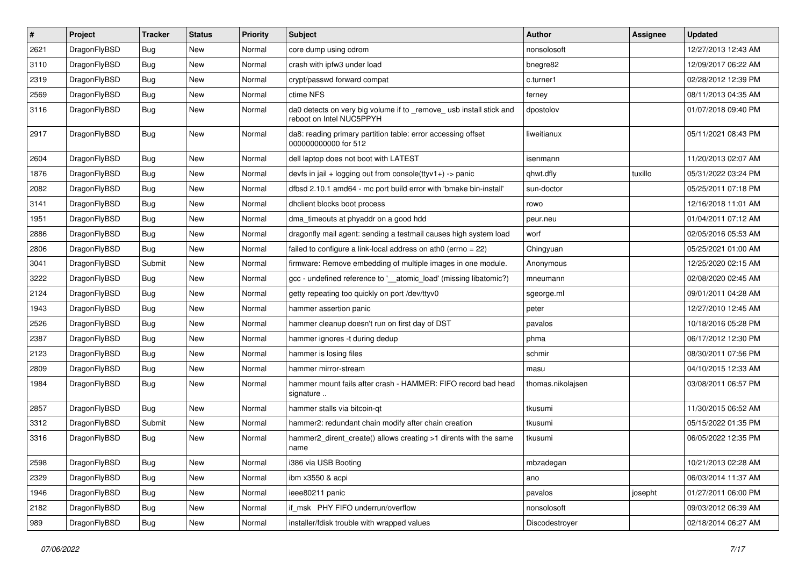| $\vert$ # | Project      | <b>Tracker</b> | <b>Status</b> | <b>Priority</b> | <b>Subject</b>                                                                                  | Author            | Assignee | <b>Updated</b>      |
|-----------|--------------|----------------|---------------|-----------------|-------------------------------------------------------------------------------------------------|-------------------|----------|---------------------|
| 2621      | DragonFlyBSD | Bug            | <b>New</b>    | Normal          | core dump using cdrom                                                                           | nonsolosoft       |          | 12/27/2013 12:43 AM |
| 3110      | DragonFlyBSD | Bug            | <b>New</b>    | Normal          | crash with ipfw3 under load                                                                     | bnegre82          |          | 12/09/2017 06:22 AM |
| 2319      | DragonFlyBSD | <b>Bug</b>     | <b>New</b>    | Normal          | crypt/passwd forward compat                                                                     | c.turner1         |          | 02/28/2012 12:39 PM |
| 2569      | DragonFlyBSD | Bug            | <b>New</b>    | Normal          | ctime NFS                                                                                       | ferney            |          | 08/11/2013 04:35 AM |
| 3116      | DragonFlyBSD | Bug            | <b>New</b>    | Normal          | da0 detects on very big volume if to _remove_ usb install stick and<br>reboot on Intel NUC5PPYH | dpostolov         |          | 01/07/2018 09:40 PM |
| 2917      | DragonFlyBSD | Bug            | <b>New</b>    | Normal          | da8: reading primary partition table: error accessing offset<br>000000000000 for 512            | liweitianux       |          | 05/11/2021 08:43 PM |
| 2604      | DragonFlyBSD | Bug            | <b>New</b>    | Normal          | dell laptop does not boot with LATEST                                                           | isenmann          |          | 11/20/2013 02:07 AM |
| 1876      | DragonFlyBSD | Bug            | <b>New</b>    | Normal          | devfs in jail + logging out from console(ttyv1+) -> panic                                       | qhwt.dfly         | tuxillo  | 05/31/2022 03:24 PM |
| 2082      | DragonFlyBSD | <b>Bug</b>     | <b>New</b>    | Normal          | dfbsd 2.10.1 amd64 - mc port build error with 'bmake bin-install'                               | sun-doctor        |          | 05/25/2011 07:18 PM |
| 3141      | DragonFlyBSD | Bug            | <b>New</b>    | Normal          | dhclient blocks boot process                                                                    | rowo              |          | 12/16/2018 11:01 AM |
| 1951      | DragonFlyBSD | Bug            | <b>New</b>    | Normal          | dma_timeouts at phyaddr on a good hdd                                                           | peur.neu          |          | 01/04/2011 07:12 AM |
| 2886      | DragonFlyBSD | <b>Bug</b>     | New           | Normal          | dragonfly mail agent: sending a testmail causes high system load                                | worf              |          | 02/05/2016 05:53 AM |
| 2806      | DragonFlyBSD | Bug            | <b>New</b>    | Normal          | failed to configure a link-local address on ath0 (errno = 22)                                   | Chingyuan         |          | 05/25/2021 01:00 AM |
| 3041      | DragonFlyBSD | Submit         | New           | Normal          | firmware: Remove embedding of multiple images in one module.                                    | Anonymous         |          | 12/25/2020 02:15 AM |
| 3222      | DragonFlyBSD | Bug            | <b>New</b>    | Normal          | gcc - undefined reference to '__atomic_load' (missing libatomic?)                               | mneumann          |          | 02/08/2020 02:45 AM |
| 2124      | DragonFlyBSD | Bug            | <b>New</b>    | Normal          | getty repeating too quickly on port /dev/ttyv0                                                  | sgeorge.ml        |          | 09/01/2011 04:28 AM |
| 1943      | DragonFlyBSD | Bug            | New           | Normal          | hammer assertion panic                                                                          | peter             |          | 12/27/2010 12:45 AM |
| 2526      | DragonFlyBSD | Bug            | <b>New</b>    | Normal          | hammer cleanup doesn't run on first day of DST                                                  | pavalos           |          | 10/18/2016 05:28 PM |
| 2387      | DragonFlyBSD | <b>Bug</b>     | New           | Normal          | hammer ignores -t during dedup                                                                  | phma              |          | 06/17/2012 12:30 PM |
| 2123      | DragonFlyBSD | <b>Bug</b>     | <b>New</b>    | Normal          | hammer is losing files                                                                          | schmir            |          | 08/30/2011 07:56 PM |
| 2809      | DragonFlyBSD | Bug            | <b>New</b>    | Normal          | hammer mirror-stream                                                                            | masu              |          | 04/10/2015 12:33 AM |
| 1984      | DragonFlyBSD | Bug            | <b>New</b>    | Normal          | hammer mount fails after crash - HAMMER: FIFO record bad head<br>signature                      | thomas.nikolajsen |          | 03/08/2011 06:57 PM |
| 2857      | DragonFlyBSD | Bug            | New           | Normal          | hammer stalls via bitcoin-qt                                                                    | tkusumi           |          | 11/30/2015 06:52 AM |
| 3312      | DragonFlyBSD | Submit         | New           | Normal          | hammer2: redundant chain modify after chain creation                                            | tkusumi           |          | 05/15/2022 01:35 PM |
| 3316      | DragonFlyBSD | Bug            | <b>New</b>    | Normal          | hammer2_dirent_create() allows creating >1 dirents with the same<br>name                        | tkusumi           |          | 06/05/2022 12:35 PM |
| 2598      | DragonFlyBSD | <b>Bug</b>     | New           | Normal          | i386 via USB Booting                                                                            | mbzadegan         |          | 10/21/2013 02:28 AM |
| 2329      | DragonFlyBSD | <b>Bug</b>     | New           | Normal          | ibm x3550 & acpi                                                                                | ano               |          | 06/03/2014 11:37 AM |
| 1946      | DragonFlyBSD | <b>Bug</b>     | New           | Normal          | ieee80211 panic                                                                                 | pavalos           | josepht  | 01/27/2011 06:00 PM |
| 2182      | DragonFlyBSD | <b>Bug</b>     | New           | Normal          | if_msk PHY FIFO underrun/overflow                                                               | nonsolosoft       |          | 09/03/2012 06:39 AM |
| 989       | DragonFlyBSD | <b>Bug</b>     | New           | Normal          | installer/fdisk trouble with wrapped values                                                     | Discodestroyer    |          | 02/18/2014 06:27 AM |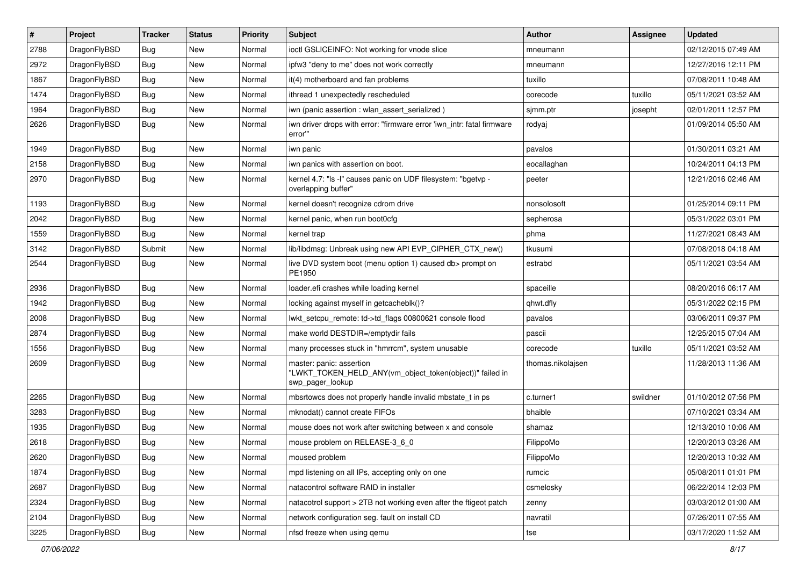| $\vert$ # | Project      | <b>Tracker</b> | <b>Status</b> | <b>Priority</b> | Subject                                                                                                  | <b>Author</b>     | <b>Assignee</b> | <b>Updated</b>      |
|-----------|--------------|----------------|---------------|-----------------|----------------------------------------------------------------------------------------------------------|-------------------|-----------------|---------------------|
| 2788      | DragonFlyBSD | Bug            | <b>New</b>    | Normal          | ioctl GSLICEINFO: Not working for vnode slice                                                            | mneumann          |                 | 02/12/2015 07:49 AM |
| 2972      | DragonFlyBSD | Bug            | <b>New</b>    | Normal          | ipfw3 "deny to me" does not work correctly                                                               | mneumann          |                 | 12/27/2016 12:11 PM |
| 1867      | DragonFlyBSD | Bug            | <b>New</b>    | Normal          | it(4) motherboard and fan problems                                                                       | tuxillo           |                 | 07/08/2011 10:48 AM |
| 1474      | DragonFlyBSD | Bug            | <b>New</b>    | Normal          | ithread 1 unexpectedly rescheduled                                                                       | corecode          | tuxillo         | 05/11/2021 03:52 AM |
| 1964      | DragonFlyBSD | <b>Bug</b>     | <b>New</b>    | Normal          | iwn (panic assertion : wlan_assert_serialized)                                                           | sjmm.ptr          | josepht         | 02/01/2011 12:57 PM |
| 2626      | DragonFlyBSD | <b>Bug</b>     | New           | Normal          | iwn driver drops with error: "firmware error 'iwn_intr: fatal firmware<br>error"                         | rodyaj            |                 | 01/09/2014 05:50 AM |
| 1949      | DragonFlyBSD | Bug            | <b>New</b>    | Normal          | iwn panic                                                                                                | pavalos           |                 | 01/30/2011 03:21 AM |
| 2158      | DragonFlyBSD | Bug            | New           | Normal          | iwn panics with assertion on boot.                                                                       | eocallaghan       |                 | 10/24/2011 04:13 PM |
| 2970      | DragonFlyBSD | Bug            | New           | Normal          | kernel 4.7: "Is -I" causes panic on UDF filesystem: "bgetvp -<br>overlapping buffer"                     | peeter            |                 | 12/21/2016 02:46 AM |
| 1193      | DragonFlyBSD | <b>Bug</b>     | <b>New</b>    | Normal          | kernel doesn't recognize cdrom drive                                                                     | nonsolosoft       |                 | 01/25/2014 09:11 PM |
| 2042      | DragonFlyBSD | Bug            | <b>New</b>    | Normal          | kernel panic, when run boot0cfg                                                                          | sepherosa         |                 | 05/31/2022 03:01 PM |
| 1559      | DragonFlyBSD | <b>Bug</b>     | <b>New</b>    | Normal          | kernel trap                                                                                              | phma              |                 | 11/27/2021 08:43 AM |
| 3142      | DragonFlyBSD | Submit         | <b>New</b>    | Normal          | lib/libdmsg: Unbreak using new API EVP_CIPHER_CTX_new()                                                  | tkusumi           |                 | 07/08/2018 04:18 AM |
| 2544      | DragonFlyBSD | Bug            | New           | Normal          | live DVD system boot (menu option 1) caused db> prompt on<br>PE1950                                      | estrabd           |                 | 05/11/2021 03:54 AM |
| 2936      | DragonFlyBSD | <b>Bug</b>     | <b>New</b>    | Normal          | loader.efi crashes while loading kernel                                                                  | spaceille         |                 | 08/20/2016 06:17 AM |
| 1942      | DragonFlyBSD | <b>Bug</b>     | <b>New</b>    | Normal          | locking against myself in getcacheblk()?                                                                 | qhwt.dfly         |                 | 05/31/2022 02:15 PM |
| 2008      | DragonFlyBSD | <b>Bug</b>     | New           | Normal          | lwkt_setcpu_remote: td->td_flags 00800621 console flood                                                  | pavalos           |                 | 03/06/2011 09:37 PM |
| 2874      | DragonFlyBSD | <b>Bug</b>     | <b>New</b>    | Normal          | make world DESTDIR=/emptydir fails                                                                       | pascii            |                 | 12/25/2015 07:04 AM |
| 1556      | DragonFlyBSD | <b>Bug</b>     | New           | Normal          | many processes stuck in "hmrrcm", system unusable                                                        | corecode          | tuxillo         | 05/11/2021 03:52 AM |
| 2609      | DragonFlyBSD | <b>Bug</b>     | <b>New</b>    | Normal          | master: panic: assertion<br>"LWKT_TOKEN_HELD_ANY(vm_object_token(object))" failed in<br>swp_pager_lookup | thomas.nikolajsen |                 | 11/28/2013 11:36 AM |
| 2265      | DragonFlyBSD | Bug            | New           | Normal          | mbsrtowcs does not properly handle invalid mbstate_t in ps                                               | c.turner1         | swildner        | 01/10/2012 07:56 PM |
| 3283      | DragonFlyBSD | <b>Bug</b>     | <b>New</b>    | Normal          | mknodat() cannot create FIFOs                                                                            | bhaible           |                 | 07/10/2021 03:34 AM |
| 1935      | DragonFlyBSD | Bug            | <b>New</b>    | Normal          | mouse does not work after switching between x and console                                                | shamaz            |                 | 12/13/2010 10:06 AM |
| 2618      | DragonFlyBSD | <b>Bug</b>     | New           | Normal          | mouse problem on RELEASE-3_6_0                                                                           | FilippoMo         |                 | 12/20/2013 03:26 AM |
| 2620      | DragonFlyBSD | Bug            | New           | Normal          | moused problem                                                                                           | FilippoMo         |                 | 12/20/2013 10:32 AM |
| 1874      | DragonFlyBSD | Bug            | New           | Normal          | mpd listening on all IPs, accepting only on one                                                          | rumcic            |                 | 05/08/2011 01:01 PM |
| 2687      | DragonFlyBSD | <b>Bug</b>     | New           | Normal          | natacontrol software RAID in installer                                                                   | csmelosky         |                 | 06/22/2014 12:03 PM |
| 2324      | DragonFlyBSD | <b>Bug</b>     | New           | Normal          | natacotrol support > 2TB not working even after the ftigeot patch                                        | zenny             |                 | 03/03/2012 01:00 AM |
| 2104      | DragonFlyBSD | Bug            | New           | Normal          | network configuration seg. fault on install CD                                                           | navratil          |                 | 07/26/2011 07:55 AM |
| 3225      | DragonFlyBSD | Bug            | New           | Normal          | nfsd freeze when using qemu                                                                              | tse               |                 | 03/17/2020 11:52 AM |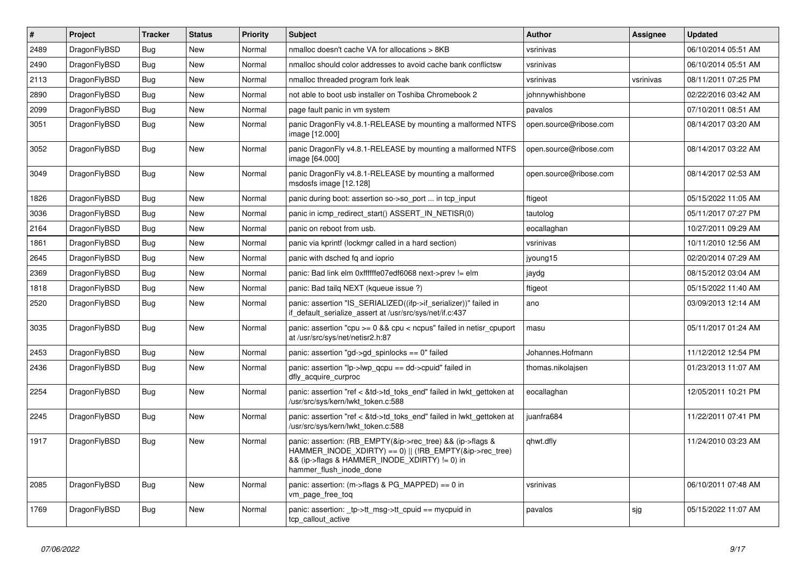| $\vert$ # | <b>Project</b> | <b>Tracker</b> | <b>Status</b> | <b>Priority</b> | <b>Subject</b>                                                                                                                                                                                    | <b>Author</b>          | <b>Assignee</b> | <b>Updated</b>      |
|-----------|----------------|----------------|---------------|-----------------|---------------------------------------------------------------------------------------------------------------------------------------------------------------------------------------------------|------------------------|-----------------|---------------------|
| 2489      | DragonFlyBSD   | Bug            | <b>New</b>    | Normal          | nmalloc doesn't cache VA for allocations > 8KB                                                                                                                                                    | vsrinivas              |                 | 06/10/2014 05:51 AM |
| 2490      | DragonFlyBSD   | Bug            | <b>New</b>    | Normal          | nmalloc should color addresses to avoid cache bank conflictsw                                                                                                                                     | vsrinivas              |                 | 06/10/2014 05:51 AM |
| 2113      | DragonFlyBSD   | Bug            | <b>New</b>    | Normal          | nmalloc threaded program fork leak                                                                                                                                                                | vsrinivas              | vsrinivas       | 08/11/2011 07:25 PM |
| 2890      | DragonFlyBSD   | <b>Bug</b>     | <b>New</b>    | Normal          | not able to boot usb installer on Toshiba Chromebook 2                                                                                                                                            | johnnywhishbone        |                 | 02/22/2016 03:42 AM |
| 2099      | DragonFlyBSD   | <b>Bug</b>     | <b>New</b>    | Normal          | page fault panic in vm system                                                                                                                                                                     | pavalos                |                 | 07/10/2011 08:51 AM |
| 3051      | DragonFlyBSD   | <b>Bug</b>     | New           | Normal          | panic DragonFly v4.8.1-RELEASE by mounting a malformed NTFS<br>image [12.000]                                                                                                                     | open.source@ribose.com |                 | 08/14/2017 03:20 AM |
| 3052      | DragonFlyBSD   | <b>Bug</b>     | <b>New</b>    | Normal          | panic DragonFly v4.8.1-RELEASE by mounting a malformed NTFS<br>image [64.000]                                                                                                                     | open.source@ribose.com |                 | 08/14/2017 03:22 AM |
| 3049      | DragonFlyBSD   | <b>Bug</b>     | <b>New</b>    | Normal          | panic DragonFly v4.8.1-RELEASE by mounting a malformed<br>msdosfs image [12.128]                                                                                                                  | open.source@ribose.com |                 | 08/14/2017 02:53 AM |
| 1826      | DragonFlyBSD   | Bug            | <b>New</b>    | Normal          | panic during boot: assertion so->so port  in tcp input                                                                                                                                            | ftigeot                |                 | 05/15/2022 11:05 AM |
| 3036      | DragonFlyBSD   | Bug            | <b>New</b>    | Normal          | panic in icmp redirect start() ASSERT IN NETISR(0)                                                                                                                                                | tautolog               |                 | 05/11/2017 07:27 PM |
| 2164      | DragonFlyBSD   | <b>Bug</b>     | <b>New</b>    | Normal          | panic on reboot from usb.                                                                                                                                                                         | eocallaghan            |                 | 10/27/2011 09:29 AM |
| 1861      | DragonFlyBSD   | Bug            | <b>New</b>    | Normal          | panic via kprintf (lockmgr called in a hard section)                                                                                                                                              | vsrinivas              |                 | 10/11/2010 12:56 AM |
| 2645      | DragonFlyBSD   | <b>Bug</b>     | <b>New</b>    | Normal          | panic with dsched fq and ioprio                                                                                                                                                                   | jyoung15               |                 | 02/20/2014 07:29 AM |
| 2369      | DragonFlyBSD   | Bug            | <b>New</b>    | Normal          | panic: Bad link elm 0xffffffe07edf6068 next->prev != elm                                                                                                                                          | jaydg                  |                 | 08/15/2012 03:04 AM |
| 1818      | DragonFlyBSD   | Bug            | <b>New</b>    | Normal          | panic: Bad tailg NEXT (kqueue issue ?)                                                                                                                                                            | ftigeot                |                 | 05/15/2022 11:40 AM |
| 2520      | DragonFlyBSD   | <b>Bug</b>     | <b>New</b>    | Normal          | panic: assertion "IS_SERIALIZED((ifp->if_serializer))" failed in<br>if default serialize assert at /usr/src/sys/net/if.c:437                                                                      | ano                    |                 | 03/09/2013 12:14 AM |
| 3035      | DragonFlyBSD   | <b>Bug</b>     | <b>New</b>    | Normal          | panic: assertion "cpu $>= 0$ && cpu < ncpus" failed in netisr cpuport<br>at /usr/src/sys/net/netisr2.h:87                                                                                         | masu                   |                 | 05/11/2017 01:24 AM |
| 2453      | DragonFlyBSD   | <b>Bug</b>     | <b>New</b>    | Normal          | panic: assertion "gd->gd spinlocks == $0$ " failed                                                                                                                                                | Johannes.Hofmann       |                 | 11/12/2012 12:54 PM |
| 2436      | DragonFlyBSD   | Bug            | <b>New</b>    | Normal          | panic: assertion "lp->lwp_qcpu == dd->cpuid" failed in<br>dfly acquire curproc                                                                                                                    | thomas.nikolajsen      |                 | 01/23/2013 11:07 AM |
| 2254      | DragonFlyBSD   | <b>Bug</b>     | <b>New</b>    | Normal          | panic: assertion "ref < &td->td toks end" failed in lwkt gettoken at<br>/usr/src/sys/kern/lwkt_token.c:588                                                                                        | eocallaghan            |                 | 12/05/2011 10:21 PM |
| 2245      | DragonFlyBSD   | Bug            | <b>New</b>    | Normal          | panic: assertion "ref < &td->td toks end" failed in lwkt gettoken at<br>/usr/src/sys/kern/lwkt_token.c:588                                                                                        | juanfra684             |                 | 11/22/2011 07:41 PM |
| 1917      | DragonFlyBSD   | Bug            | <b>New</b>    | Normal          | panic: assertion: (RB_EMPTY(&ip->rec_tree) && (ip->flags &<br>HAMMER_INODE_XDIRTY) == 0)    (!RB_EMPTY(&ip->rec_tree)<br>&& (ip->flags & HAMMER INODE XDIRTY) != 0) in<br>hammer_flush_inode_done | qhwt.dfly              |                 | 11/24/2010 03:23 AM |
| 2085      | DragonFlyBSD   | <b>Bug</b>     | <b>New</b>    | Normal          | panic: assertion: $(m\rightarrow$ flags & PG MAPPED) == 0 in<br>vm_page_free_toq                                                                                                                  | vsrinivas              |                 | 06/10/2011 07:48 AM |
| 1769      | DragonFlyBSD   | <b>Bug</b>     | <b>New</b>    | Normal          | panic: assertion: tp->tt msg->tt cpuid == mycpuid in<br>tcp_callout_active                                                                                                                        | pavalos                | sjg             | 05/15/2022 11:07 AM |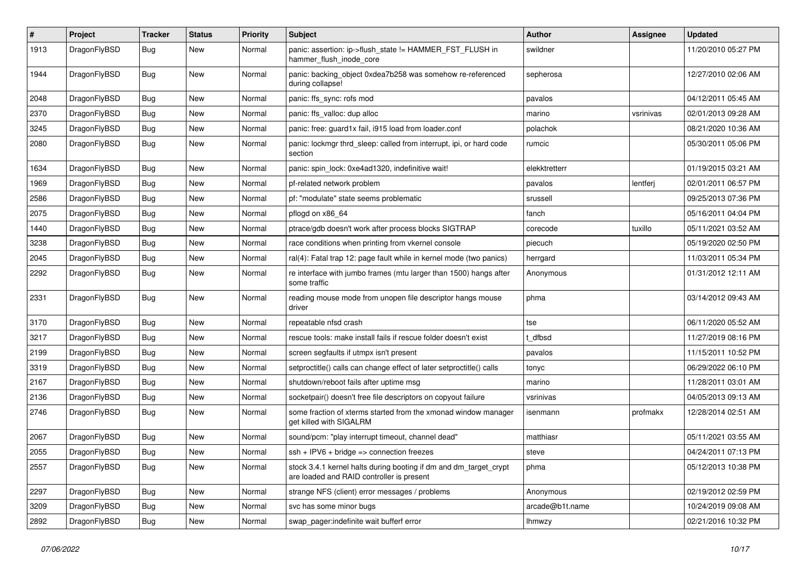| $\pmb{\#}$ | Project      | <b>Tracker</b> | <b>Status</b> | <b>Priority</b> | Subject                                                                                                        | Author          | Assignee  | <b>Updated</b>      |
|------------|--------------|----------------|---------------|-----------------|----------------------------------------------------------------------------------------------------------------|-----------------|-----------|---------------------|
| 1913       | DragonFlyBSD | Bug            | New           | Normal          | panic: assertion: ip->flush_state != HAMMER_FST_FLUSH in<br>hammer flush inode core                            | swildner        |           | 11/20/2010 05:27 PM |
| 1944       | DragonFlyBSD | Bug            | <b>New</b>    | Normal          | panic: backing object 0xdea7b258 was somehow re-referenced<br>during collapse!                                 | sepherosa       |           | 12/27/2010 02:06 AM |
| 2048       | DragonFlyBSD | Bug            | <b>New</b>    | Normal          | panic: ffs_sync: rofs mod                                                                                      | pavalos         |           | 04/12/2011 05:45 AM |
| 2370       | DragonFlyBSD | Bug            | New           | Normal          | panic: ffs valloc: dup alloc                                                                                   | marino          | vsrinivas | 02/01/2013 09:28 AM |
| 3245       | DragonFlyBSD | Bug            | <b>New</b>    | Normal          | panic: free: guard1x fail, i915 load from loader.conf                                                          | polachok        |           | 08/21/2020 10:36 AM |
| 2080       | DragonFlyBSD | Bug            | New           | Normal          | panic: lockmgr thrd sleep: called from interrupt, ipi, or hard code<br>section                                 | rumcic          |           | 05/30/2011 05:06 PM |
| 1634       | DragonFlyBSD | <b>Bug</b>     | <b>New</b>    | Normal          | panic: spin lock: 0xe4ad1320, indefinitive wait!                                                               | elekktretterr   |           | 01/19/2015 03:21 AM |
| 1969       | DragonFlyBSD | Bug            | <b>New</b>    | Normal          | pf-related network problem                                                                                     | pavalos         | lentferj  | 02/01/2011 06:57 PM |
| 2586       | DragonFlyBSD | Bug            | <b>New</b>    | Normal          | pf: "modulate" state seems problematic                                                                         | srussell        |           | 09/25/2013 07:36 PM |
| 2075       | DragonFlyBSD | <b>Bug</b>     | <b>New</b>    | Normal          | pflogd on x86 64                                                                                               | fanch           |           | 05/16/2011 04:04 PM |
| 1440       | DragonFlyBSD | <b>Bug</b>     | New           | Normal          | ptrace/gdb doesn't work after process blocks SIGTRAP                                                           | corecode        | tuxillo   | 05/11/2021 03:52 AM |
| 3238       | DragonFlyBSD | Bug            | <b>New</b>    | Normal          | race conditions when printing from vkernel console                                                             | piecuch         |           | 05/19/2020 02:50 PM |
| 2045       | DragonFlyBSD | <b>Bug</b>     | New           | Normal          | ral(4): Fatal trap 12: page fault while in kernel mode (two panics)                                            | herrgard        |           | 11/03/2011 05:34 PM |
| 2292       | DragonFlyBSD | Bug            | New           | Normal          | re interface with jumbo frames (mtu larger than 1500) hangs after<br>some traffic                              | Anonymous       |           | 01/31/2012 12:11 AM |
| 2331       | DragonFlyBSD | <b>Bug</b>     | <b>New</b>    | Normal          | reading mouse mode from unopen file descriptor hangs mouse<br>driver                                           | phma            |           | 03/14/2012 09:43 AM |
| 3170       | DragonFlyBSD | <b>Bug</b>     | <b>New</b>    | Normal          | repeatable nfsd crash                                                                                          | tse             |           | 06/11/2020 05:52 AM |
| 3217       | DragonFlyBSD | <b>Bug</b>     | New           | Normal          | rescue tools: make install fails if rescue folder doesn't exist                                                | t dfbsd         |           | 11/27/2019 08:16 PM |
| 2199       | DragonFlyBSD | Bug            | <b>New</b>    | Normal          | screen segfaults if utmpx isn't present                                                                        | pavalos         |           | 11/15/2011 10:52 PM |
| 3319       | DragonFlyBSD | <b>Bug</b>     | New           | Normal          | setproctitle() calls can change effect of later setproctitle() calls                                           | tonyc           |           | 06/29/2022 06:10 PM |
| 2167       | DragonFlyBSD | Bug            | <b>New</b>    | Normal          | shutdown/reboot fails after uptime msg                                                                         | marino          |           | 11/28/2011 03:01 AM |
| 2136       | DragonFlyBSD | Bug            | <b>New</b>    | Normal          | socketpair() doesn't free file descriptors on copyout failure                                                  | vsrinivas       |           | 04/05/2013 09:13 AM |
| 2746       | DragonFlyBSD | Bug            | New           | Normal          | some fraction of xterms started from the xmonad window manager<br>get killed with SIGALRM                      | isenmann        | profmakx  | 12/28/2014 02:51 AM |
| 2067       | DragonFlyBSD | <b>Bug</b>     | <b>New</b>    | Normal          | sound/pcm: "play interrupt timeout, channel dead"                                                              | matthiasr       |           | 05/11/2021 03:55 AM |
| 2055       | DragonFlyBSD | Bug            | New           | Normal          | $ssh + IPV6 + bridge \Rightarrow connection freezes$                                                           | steve           |           | 04/24/2011 07:13 PM |
| 2557       | DragonFlyBSD | Bug            | New           | Normal          | stock 3.4.1 kernel halts during booting if dm and dm_target_crypt<br>are loaded and RAID controller is present | phma            |           | 05/12/2013 10:38 PM |
| 2297       | DragonFlyBSD | <b>Bug</b>     | New           | Normal          | strange NFS (client) error messages / problems                                                                 | Anonymous       |           | 02/19/2012 02:59 PM |
| 3209       | DragonFlyBSD | <b>Bug</b>     | New           | Normal          | svc has some minor bugs                                                                                        | arcade@b1t.name |           | 10/24/2019 09:08 AM |
| 2892       | DragonFlyBSD | <b>Bug</b>     | New           | Normal          | swap_pager:indefinite wait bufferf error                                                                       | Ihmwzy          |           | 02/21/2016 10:32 PM |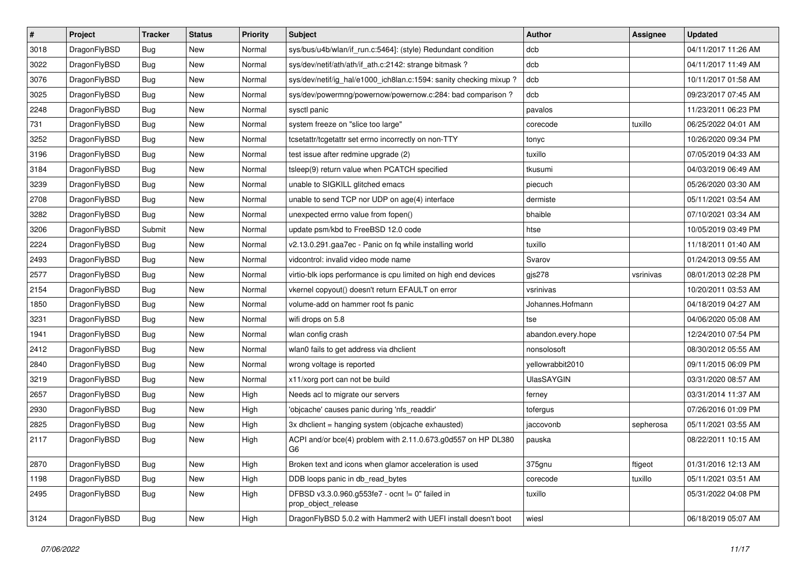| $\vert$ # | <b>Project</b> | <b>Tracker</b> | <b>Status</b> | <b>Priority</b> | <b>Subject</b>                                                                  | Author             | Assignee  | <b>Updated</b>      |
|-----------|----------------|----------------|---------------|-----------------|---------------------------------------------------------------------------------|--------------------|-----------|---------------------|
| 3018      | DragonFlyBSD   | <b>Bug</b>     | New           | Normal          | sys/bus/u4b/wlan/if_run.c:5464]: (style) Redundant condition                    | dcb                |           | 04/11/2017 11:26 AM |
| 3022      | DragonFlyBSD   | <b>Bug</b>     | New           | Normal          | sys/dev/netif/ath/ath/if ath.c:2142: strange bitmask?                           | dcb                |           | 04/11/2017 11:49 AM |
| 3076      | DragonFlyBSD   | Bug            | New           | Normal          | sys/dev/netif/ig hal/e1000 ich8lan.c:1594: sanity checking mixup?               | dcb                |           | 10/11/2017 01:58 AM |
| 3025      | DragonFlyBSD   | Bug            | New           | Normal          | sys/dev/powermng/powernow/powernow.c:284: bad comparison?                       | dcb                |           | 09/23/2017 07:45 AM |
| 2248      | DragonFlyBSD   | <b>Bug</b>     | New           | Normal          | sysctl panic                                                                    | pavalos            |           | 11/23/2011 06:23 PM |
| 731       | DragonFlyBSD   | <b>Bug</b>     | <b>New</b>    | Normal          | system freeze on "slice too large"                                              | corecode           | tuxillo   | 06/25/2022 04:01 AM |
| 3252      | DragonFlyBSD   | Bug            | New           | Normal          | tcsetattr/tcgetattr set errno incorrectly on non-TTY                            | tonyc              |           | 10/26/2020 09:34 PM |
| 3196      | DragonFlyBSD   | Bug            | New           | Normal          | test issue after redmine upgrade (2)                                            | tuxillo            |           | 07/05/2019 04:33 AM |
| 3184      | DragonFlyBSD   | <b>Bug</b>     | <b>New</b>    | Normal          | tsleep(9) return value when PCATCH specified                                    | tkusumi            |           | 04/03/2019 06:49 AM |
| 3239      | DragonFlyBSD   | <b>Bug</b>     | <b>New</b>    | Normal          | unable to SIGKILL glitched emacs                                                | piecuch            |           | 05/26/2020 03:30 AM |
| 2708      | DragonFlyBSD   | <b>Bug</b>     | <b>New</b>    | Normal          | unable to send TCP nor UDP on age(4) interface                                  | dermiste           |           | 05/11/2021 03:54 AM |
| 3282      | DragonFlyBSD   | Bug            | New           | Normal          | unexpected errno value from fopen()                                             | bhaible            |           | 07/10/2021 03:34 AM |
| 3206      | DragonFlyBSD   | Submit         | New           | Normal          | update psm/kbd to FreeBSD 12.0 code                                             | htse               |           | 10/05/2019 03:49 PM |
| 2224      | DragonFlyBSD   | <b>Bug</b>     | <b>New</b>    | Normal          | v2.13.0.291.gaa7ec - Panic on fq while installing world                         | tuxillo            |           | 11/18/2011 01:40 AM |
| 2493      | DragonFlyBSD   | Bug            | <b>New</b>    | Normal          | vidcontrol: invalid video mode name                                             | Svarov             |           | 01/24/2013 09:55 AM |
| 2577      | DragonFlyBSD   | Bug            | New           | Normal          | virtio-blk iops performance is cpu limited on high end devices                  | gis278             | vsrinivas | 08/01/2013 02:28 PM |
| 2154      | DragonFlyBSD   | Bug            | New           | Normal          | vkernel copyout() doesn't return EFAULT on error                                | vsrinivas          |           | 10/20/2011 03:53 AM |
| 1850      | DragonFlyBSD   | <b>Bug</b>     | New           | Normal          | volume-add on hammer root fs panic                                              | Johannes.Hofmann   |           | 04/18/2019 04:27 AM |
| 3231      | DragonFlyBSD   | <b>Bug</b>     | <b>New</b>    | Normal          | wifi drops on 5.8                                                               | tse                |           | 04/06/2020 05:08 AM |
| 1941      | DragonFlyBSD   | <b>Bug</b>     | <b>New</b>    | Normal          | wlan config crash                                                               | abandon.every.hope |           | 12/24/2010 07:54 PM |
| 2412      | DragonFlyBSD   | <b>Bug</b>     | New           | Normal          | wlan0 fails to get address via dhclient                                         | nonsolosoft        |           | 08/30/2012 05:55 AM |
| 2840      | DragonFlyBSD   | <b>Bug</b>     | <b>New</b>    | Normal          | wrong voltage is reported                                                       | yellowrabbit2010   |           | 09/11/2015 06:09 PM |
| 3219      | DragonFlyBSD   | <b>Bug</b>     | <b>New</b>    | Normal          | x11/xorg port can not be build                                                  | <b>UlasSAYGIN</b>  |           | 03/31/2020 08:57 AM |
| 2657      | DragonFlyBSD   | Bug            | New           | High            | Needs acl to migrate our servers                                                | ferney             |           | 03/31/2014 11:37 AM |
| 2930      | DragonFlyBSD   | Bug            | <b>New</b>    | High            | 'objcache' causes panic during 'nfs_readdir'                                    | tofergus           |           | 07/26/2016 01:09 PM |
| 2825      | DragonFlyBSD   | <b>Bug</b>     | <b>New</b>    | High            | 3x dhclient = hanging system (objcache exhausted)                               | jaccovonb          | sepherosa | 05/11/2021 03:55 AM |
| 2117      | DragonFlyBSD   | <b>Bug</b>     | New           | High            | ACPI and/or bce(4) problem with 2.11.0.673.g0d557 on HP DL380<br>G <sub>6</sub> | pauska             |           | 08/22/2011 10:15 AM |
| 2870      | DragonFlyBSD   | Bug            | New           | High            | Broken text and icons when glamor acceleration is used                          | 375gnu             | ftigeot   | 01/31/2016 12:13 AM |
| 1198      | DragonFlyBSD   | <b>Bug</b>     | New           | High            | DDB loops panic in db read bytes                                                | corecode           | tuxillo   | 05/11/2021 03:51 AM |
| 2495      | DragonFlyBSD   | <b>Bug</b>     | New           | High            | DFBSD v3.3.0.960.g553fe7 - ocnt != 0" failed in<br>prop_object_release          | tuxillo            |           | 05/31/2022 04:08 PM |
| 3124      | DragonFlyBSD   | <b>Bug</b>     | <b>New</b>    | High            | DragonFlyBSD 5.0.2 with Hammer2 with UEFI install doesn't boot                  | wiesl              |           | 06/18/2019 05:07 AM |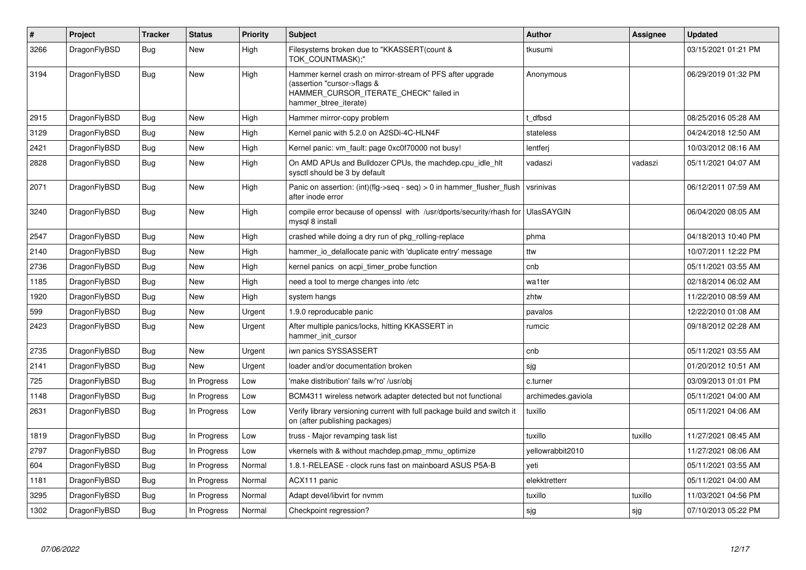| #    | Project      | <b>Tracker</b> | <b>Status</b> | <b>Priority</b> | <b>Subject</b>                                                                                                                                              | <b>Author</b>      | <b>Assignee</b> | <b>Updated</b>      |
|------|--------------|----------------|---------------|-----------------|-------------------------------------------------------------------------------------------------------------------------------------------------------------|--------------------|-----------------|---------------------|
| 3266 | DragonFlyBSD | <b>Bug</b>     | <b>New</b>    | High            | Filesystems broken due to "KKASSERT(count &<br>TOK COUNTMASK);"                                                                                             | tkusumi            |                 | 03/15/2021 01:21 PM |
| 3194 | DragonFlyBSD | <b>Bug</b>     | <b>New</b>    | High            | Hammer kernel crash on mirror-stream of PFS after upgrade<br>(assertion "cursor->flags &<br>HAMMER_CURSOR_ITERATE_CHECK" failed in<br>hammer btree iterate) | Anonymous          |                 | 06/29/2019 01:32 PM |
| 2915 | DragonFlyBSD | Bug            | New           | High            | Hammer mirror-copy problem                                                                                                                                  | t dfbsd            |                 | 08/25/2016 05:28 AM |
| 3129 | DragonFlyBSD | <b>Bug</b>     | <b>New</b>    | High            | Kernel panic with 5.2.0 on A2SDi-4C-HLN4F                                                                                                                   | stateless          |                 | 04/24/2018 12:50 AM |
| 2421 | DragonFlyBSD | Bug            | <b>New</b>    | High            | Kernel panic: vm fault: page 0xc0f70000 not busy!                                                                                                           | lentferj           |                 | 10/03/2012 08:16 AM |
| 2828 | DragonFlyBSD | Bug            | <b>New</b>    | High            | On AMD APUs and Bulldozer CPUs, the machdep.cpu_idle_hlt<br>sysctl should be 3 by default                                                                   | vadaszi            | vadaszi         | 05/11/2021 04:07 AM |
| 2071 | DragonFlyBSD | <b>Bug</b>     | <b>New</b>    | High            | Panic on assertion: (int)(flg->seq - seq) > 0 in hammer flusher flush<br>after inode error                                                                  | vsrinivas          |                 | 06/12/2011 07:59 AM |
| 3240 | DragonFlyBSD | <b>Bug</b>     | <b>New</b>    | High            | compile error because of openssl with /usr/dports/security/rhash for<br>mysql 8 install                                                                     | <b>UlasSAYGIN</b>  |                 | 06/04/2020 08:05 AM |
| 2547 | DragonFlyBSD | Bug            | <b>New</b>    | High            | crashed while doing a dry run of pkg rolling-replace                                                                                                        | phma               |                 | 04/18/2013 10:40 PM |
| 2140 | DragonFlyBSD | <b>Bug</b>     | <b>New</b>    | High            | hammer_io_delallocate panic with 'duplicate entry' message                                                                                                  | ttw                |                 | 10/07/2011 12:22 PM |
| 2736 | DragonFlyBSD | <b>Bug</b>     | <b>New</b>    | High            | kernel panics on acpi timer probe function                                                                                                                  | cnb                |                 | 05/11/2021 03:55 AM |
| 1185 | DragonFlyBSD | <b>Bug</b>     | <b>New</b>    | High            | need a tool to merge changes into /etc                                                                                                                      | wa1ter             |                 | 02/18/2014 06:02 AM |
| 1920 | DragonFlyBSD | <b>Bug</b>     | <b>New</b>    | High            | system hangs                                                                                                                                                | zhtw               |                 | 11/22/2010 08:59 AM |
| 599  | DragonFlyBSD | Bug            | <b>New</b>    | Urgent          | 1.9.0 reproducable panic                                                                                                                                    | pavalos            |                 | 12/22/2010 01:08 AM |
| 2423 | DragonFlyBSD | Bug            | <b>New</b>    | Urgent          | After multiple panics/locks, hitting KKASSERT in<br>hammer_init_cursor                                                                                      | rumcic             |                 | 09/18/2012 02:28 AM |
| 2735 | DragonFlyBSD | Bug            | New           | Urgent          | iwn panics SYSSASSERT                                                                                                                                       | cnb                |                 | 05/11/2021 03:55 AM |
| 2141 | DragonFlyBSD | <b>Bug</b>     | <b>New</b>    | Urgent          | loader and/or documentation broken                                                                                                                          | sjg                |                 | 01/20/2012 10:51 AM |
| 725  | DragonFlyBSD | <b>Bug</b>     | In Progress   | Low             | 'make distribution' fails w/'ro' /usr/obj                                                                                                                   | c.turner           |                 | 03/09/2013 01:01 PM |
| 1148 | DragonFlyBSD | Bug            | In Progress   | Low             | BCM4311 wireless network adapter detected but not functional                                                                                                | archimedes.gaviola |                 | 05/11/2021 04:00 AM |
| 2631 | DragonFlyBSD | <b>Bug</b>     | In Progress   | Low             | Verify library versioning current with full package build and switch it<br>on (after publishing packages)                                                   | tuxillo            |                 | 05/11/2021 04:06 AM |
| 1819 | DragonFlyBSD | <b>Bug</b>     | In Progress   | Low             | truss - Major revamping task list                                                                                                                           | tuxillo            | tuxillo         | 11/27/2021 08:45 AM |
| 2797 | DragonFlyBSD | <b>Bug</b>     | In Progress   | Low             | vkernels with & without machdep.pmap mmu optimize                                                                                                           | yellowrabbit2010   |                 | 11/27/2021 08:06 AM |
| 604  | DragonFlyBSD | <b>Bug</b>     | In Progress   | Normal          | 1.8.1-RELEASE - clock runs fast on mainboard ASUS P5A-B                                                                                                     | yeti               |                 | 05/11/2021 03:55 AM |
| 1181 | DragonFlyBSD | <b>Bug</b>     | In Progress   | Normal          | ACX111 panic                                                                                                                                                | elekktretterr      |                 | 05/11/2021 04:00 AM |
| 3295 | DragonFlyBSD | Bug            | In Progress   | Normal          | Adapt devel/libvirt for nvmm                                                                                                                                | tuxillo            | tuxillo         | 11/03/2021 04:56 PM |
| 1302 | DragonFlyBSD | <b>Bug</b>     | In Progress   | Normal          | Checkpoint regression?                                                                                                                                      | sjg                | sjg             | 07/10/2013 05:22 PM |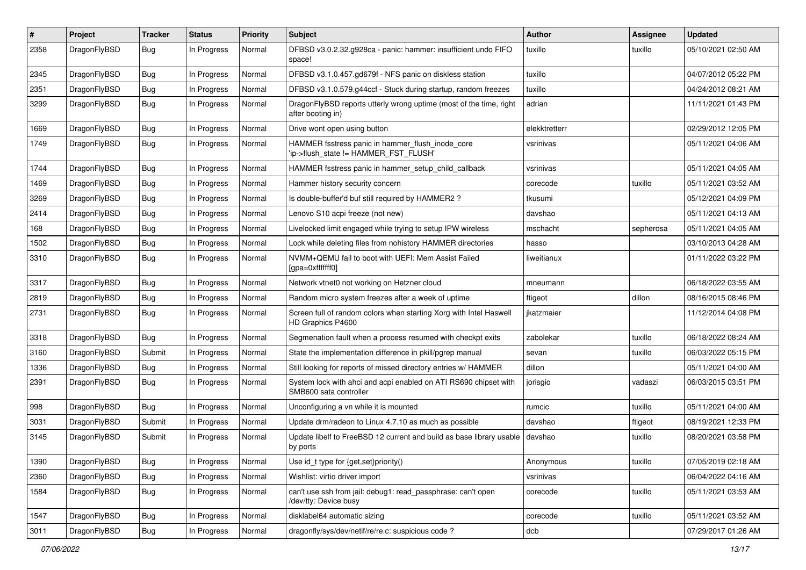| #    | Project      | <b>Tracker</b> | <b>Status</b> | <b>Priority</b> | Subject                                                                                    | <b>Author</b> | Assignee  | <b>Updated</b>      |
|------|--------------|----------------|---------------|-----------------|--------------------------------------------------------------------------------------------|---------------|-----------|---------------------|
| 2358 | DragonFlyBSD | <b>Bug</b>     | In Progress   | Normal          | DFBSD v3.0.2.32.g928ca - panic: hammer: insufficient undo FIFO<br>space!                   | tuxillo       | tuxillo   | 05/10/2021 02:50 AM |
| 2345 | DragonFlyBSD | <b>Bug</b>     | In Progress   | Normal          | DFBSD v3.1.0.457.gd679f - NFS panic on diskless station                                    | tuxillo       |           | 04/07/2012 05:22 PM |
| 2351 | DragonFlyBSD | <b>Bug</b>     | In Progress   | Normal          | DFBSD v3.1.0.579.g44ccf - Stuck during startup, random freezes                             | tuxillo       |           | 04/24/2012 08:21 AM |
| 3299 | DragonFlyBSD | <b>Bug</b>     | In Progress   | Normal          | DragonFlyBSD reports utterly wrong uptime (most of the time, right<br>after booting in)    | adrian        |           | 11/11/2021 01:43 PM |
| 1669 | DragonFlyBSD | <b>Bug</b>     | In Progress   | Normal          | Drive wont open using button                                                               | elekktretterr |           | 02/29/2012 12:05 PM |
| 1749 | DragonFlyBSD | <b>Bug</b>     | In Progress   | Normal          | HAMMER fsstress panic in hammer flush inode core<br>'ip->flush state != HAMMER FST FLUSH'  | vsrinivas     |           | 05/11/2021 04:06 AM |
| 1744 | DragonFlyBSD | <b>Bug</b>     | In Progress   | Normal          | HAMMER fsstress panic in hammer_setup_child_callback                                       | vsrinivas     |           | 05/11/2021 04:05 AM |
| 1469 | DragonFlyBSD | Bug            | In Progress   | Normal          | Hammer history security concern                                                            | corecode      | tuxillo   | 05/11/2021 03:52 AM |
| 3269 | DragonFlyBSD | <b>Bug</b>     | In Progress   | Normal          | Is double-buffer'd buf still required by HAMMER2 ?                                         | tkusumi       |           | 05/12/2021 04:09 PM |
| 2414 | DragonFlyBSD | <b>Bug</b>     | In Progress   | Normal          | Lenovo S10 acpi freeze (not new)                                                           | davshao       |           | 05/11/2021 04:13 AM |
| 168  | DragonFlyBSD | <b>Bug</b>     | In Progress   | Normal          | Livelocked limit engaged while trying to setup IPW wireless                                | mschacht      | sepherosa | 05/11/2021 04:05 AM |
| 1502 | DragonFlyBSD | <b>Bug</b>     | In Progress   | Normal          | Lock while deleting files from nohistory HAMMER directories                                | hasso         |           | 03/10/2013 04:28 AM |
| 3310 | DragonFlyBSD | <b>Bug</b>     | In Progress   | Normal          | NVMM+QEMU fail to boot with UEFI: Mem Assist Failed<br>[gpa=0xfffffff0]                    | liweitianux   |           | 01/11/2022 03:22 PM |
| 3317 | DragonFlyBSD | <b>Bug</b>     | In Progress   | Normal          | Network vtnet0 not working on Hetzner cloud                                                | mneumann      |           | 06/18/2022 03:55 AM |
| 2819 | DragonFlyBSD | <b>Bug</b>     | In Progress   | Normal          | Random micro system freezes after a week of uptime                                         | ftigeot       | dillon    | 08/16/2015 08:46 PM |
| 2731 | DragonFlyBSD | <b>Bug</b>     | In Progress   | Normal          | Screen full of random colors when starting Xorg with Intel Haswell<br>HD Graphics P4600    | jkatzmaier    |           | 11/12/2014 04:08 PM |
| 3318 | DragonFlyBSD | <b>Bug</b>     | In Progress   | Normal          | Segmenation fault when a process resumed with checkpt exits                                | zabolekar     | tuxillo   | 06/18/2022 08:24 AM |
| 3160 | DragonFlyBSD | Submit         | In Progress   | Normal          | State the implementation difference in pkill/pgrep manual                                  | sevan         | tuxillo   | 06/03/2022 05:15 PM |
| 1336 | DragonFlyBSD | <b>Bug</b>     | In Progress   | Normal          | Still looking for reports of missed directory entries w/ HAMMER                            | dillon        |           | 05/11/2021 04:00 AM |
| 2391 | DragonFlyBSD | <b>Bug</b>     | In Progress   | Normal          | System lock with ahci and acpi enabled on ATI RS690 chipset with<br>SMB600 sata controller | jorisgio      | vadaszi   | 06/03/2015 03:51 PM |
| 998  | DragonFlyBSD | Bug            | In Progress   | Normal          | Unconfiguring a vn while it is mounted                                                     | rumcic        | tuxillo   | 05/11/2021 04:00 AM |
| 3031 | DragonFlyBSD | Submit         | In Progress   | Normal          | Update drm/radeon to Linux 4.7.10 as much as possible                                      | davshao       | ftigeot   | 08/19/2021 12:33 PM |
| 3145 | DragonFlyBSD | Submit         | In Progress   | Normal          | Update libelf to FreeBSD 12 current and build as base library usable<br>by ports           | davshao       | tuxillo   | 08/20/2021 03:58 PM |
| 1390 | DragonFlyBSD | <b>Bug</b>     | In Progress   | Normal          | Use id_t type for {get,set}priority()                                                      | Anonymous     | tuxillo   | 07/05/2019 02:18 AM |
| 2360 | DragonFlyBSD | <b>Bug</b>     | In Progress   | Normal          | Wishlist: virtio driver import                                                             | vsrinivas     |           | 06/04/2022 04:16 AM |
| 1584 | DragonFlyBSD | <b>Bug</b>     | In Progress   | Normal          | can't use ssh from jail: debug1: read_passphrase: can't open<br>/dev/tty: Device busy      | corecode      | tuxillo   | 05/11/2021 03:53 AM |
| 1547 | DragonFlyBSD | Bug            | In Progress   | Normal          | disklabel64 automatic sizing                                                               | corecode      | tuxillo   | 05/11/2021 03:52 AM |
| 3011 | DragonFlyBSD | <b>Bug</b>     | In Progress   | Normal          | dragonfly/sys/dev/netif/re/re.c: suspicious code?                                          | dcb           |           | 07/29/2017 01:26 AM |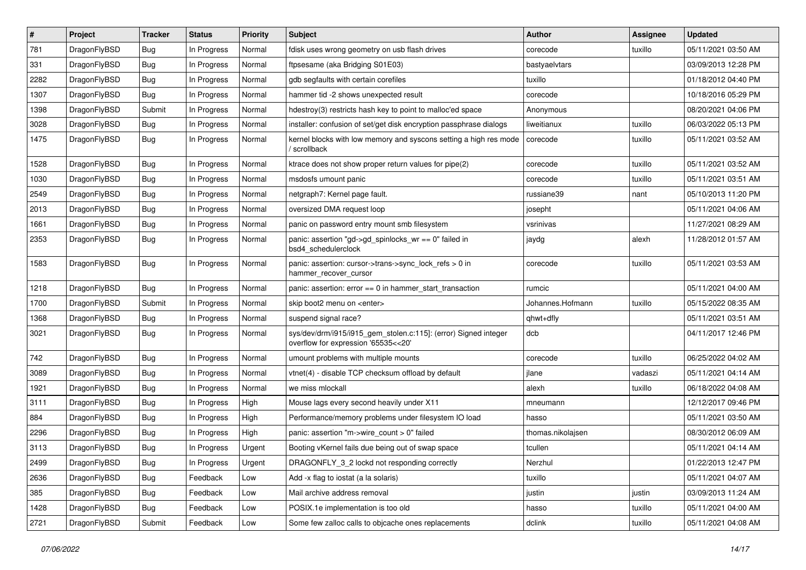| #    | Project      | <b>Tracker</b> | <b>Status</b> | <b>Priority</b> | Subject                                                                                                | <b>Author</b>     | <b>Assignee</b> | <b>Updated</b>      |
|------|--------------|----------------|---------------|-----------------|--------------------------------------------------------------------------------------------------------|-------------------|-----------------|---------------------|
| 781  | DragonFlyBSD | <b>Bug</b>     | In Progress   | Normal          | fdisk uses wrong geometry on usb flash drives                                                          | corecode          | tuxillo         | 05/11/2021 03:50 AM |
| 331  | DragonFlyBSD | <b>Bug</b>     | In Progress   | Normal          | ftpsesame (aka Bridging S01E03)                                                                        | bastyaelvtars     |                 | 03/09/2013 12:28 PM |
| 2282 | DragonFlyBSD | <b>Bug</b>     | In Progress   | Normal          | gdb segfaults with certain corefiles                                                                   | tuxillo           |                 | 01/18/2012 04:40 PM |
| 1307 | DragonFlyBSD | <b>Bug</b>     | In Progress   | Normal          | hammer tid -2 shows unexpected result                                                                  | corecode          |                 | 10/18/2016 05:29 PM |
| 1398 | DragonFlyBSD | Submit         | In Progress   | Normal          | hdestroy(3) restricts hash key to point to malloc'ed space                                             | Anonymous         |                 | 08/20/2021 04:06 PM |
| 3028 | DragonFlyBSD | <b>Bug</b>     | In Progress   | Normal          | installer: confusion of set/get disk encryption passphrase dialogs                                     | liweitianux       | tuxillo         | 06/03/2022 05:13 PM |
| 1475 | DragonFlyBSD | <b>Bug</b>     | In Progress   | Normal          | kernel blocks with low memory and syscons setting a high res mode<br>/ scrollback                      | corecode          | tuxillo         | 05/11/2021 03:52 AM |
| 1528 | DragonFlyBSD | <b>Bug</b>     | In Progress   | Normal          | ktrace does not show proper return values for pipe(2)                                                  | corecode          | tuxillo         | 05/11/2021 03:52 AM |
| 1030 | DragonFlyBSD | <b>Bug</b>     | In Progress   | Normal          | msdosfs umount panic                                                                                   | corecode          | tuxillo         | 05/11/2021 03:51 AM |
| 2549 | DragonFlyBSD | <b>Bug</b>     | In Progress   | Normal          | netgraph7: Kernel page fault.                                                                          | russiane39        | nant            | 05/10/2013 11:20 PM |
| 2013 | DragonFlyBSD | <b>Bug</b>     | In Progress   | Normal          | oversized DMA request loop                                                                             | josepht           |                 | 05/11/2021 04:06 AM |
| 1661 | DragonFlyBSD | <b>Bug</b>     | In Progress   | Normal          | panic on password entry mount smb filesystem                                                           | vsrinivas         |                 | 11/27/2021 08:29 AM |
| 2353 | DragonFlyBSD | <b>Bug</b>     | In Progress   | Normal          | panic: assertion "gd->gd_spinlocks_wr == 0" failed in<br>bsd4_schedulerclock                           | jaydg             | alexh           | 11/28/2012 01:57 AM |
| 1583 | DragonFlyBSD | <b>Bug</b>     | In Progress   | Normal          | panic: assertion: cursor->trans->sync_lock_refs > 0 in<br>hammer_recover_cursor                        | corecode          | tuxillo         | 05/11/2021 03:53 AM |
| 1218 | DragonFlyBSD | <b>Bug</b>     | In Progress   | Normal          | panic: assertion: error == 0 in hammer_start_transaction                                               | rumcic            |                 | 05/11/2021 04:00 AM |
| 1700 | DragonFlyBSD | Submit         | In Progress   | Normal          | skip boot2 menu on <enter></enter>                                                                     | Johannes.Hofmann  | tuxillo         | 05/15/2022 08:35 AM |
| 1368 | DragonFlyBSD | <b>Bug</b>     | In Progress   | Normal          | suspend signal race?                                                                                   | qhwt+dfly         |                 | 05/11/2021 03:51 AM |
| 3021 | DragonFlyBSD | <b>Bug</b>     | In Progress   | Normal          | sys/dev/drm/i915/i915_gem_stolen.c:115]: (error) Signed integer<br>overflow for expression '65535<<20' | dcb               |                 | 04/11/2017 12:46 PM |
| 742  | DragonFlyBSD | <b>Bug</b>     | In Progress   | Normal          | umount problems with multiple mounts                                                                   | corecode          | tuxillo         | 06/25/2022 04:02 AM |
| 3089 | DragonFlyBSD | <b>Bug</b>     | In Progress   | Normal          | vtnet(4) - disable TCP checksum offload by default                                                     | jlane             | vadaszi         | 05/11/2021 04:14 AM |
| 1921 | DragonFlyBSD | <b>Bug</b>     | In Progress   | Normal          | we miss mlockall                                                                                       | alexh             | tuxillo         | 06/18/2022 04:08 AM |
| 3111 | DragonFlyBSD | <b>Bug</b>     | In Progress   | High            | Mouse lags every second heavily under X11                                                              | mneumann          |                 | 12/12/2017 09:46 PM |
| 884  | DragonFlyBSD | <b>Bug</b>     | In Progress   | High            | Performance/memory problems under filesystem IO load                                                   | hasso             |                 | 05/11/2021 03:50 AM |
| 2296 | DragonFlyBSD | <b>Bug</b>     | In Progress   | High            | panic: assertion "m->wire count > 0" failed                                                            | thomas.nikolajsen |                 | 08/30/2012 06:09 AM |
| 3113 | DragonFlyBSD | <b>Bug</b>     | In Progress   | Urgent          | Booting vKernel fails due being out of swap space                                                      | tcullen           |                 | 05/11/2021 04:14 AM |
| 2499 | DragonFlyBSD | <b>Bug</b>     | In Progress   | Urgent          | DRAGONFLY_3_2 lockd not responding correctly                                                           | Nerzhul           |                 | 01/22/2013 12:47 PM |
| 2636 | DragonFlyBSD | <b>Bug</b>     | Feedback      | Low             | Add -x flag to iostat (a la solaris)                                                                   | tuxillo           |                 | 05/11/2021 04:07 AM |
| 385  | DragonFlyBSD | <b>Bug</b>     | Feedback      | Low             | Mail archive address removal                                                                           | justin            | justin          | 03/09/2013 11:24 AM |
| 1428 | DragonFlyBSD | <b>Bug</b>     | Feedback      | Low             | POSIX.1e implementation is too old                                                                     | hasso             | tuxillo         | 05/11/2021 04:00 AM |
| 2721 | DragonFlyBSD | Submit         | Feedback      | Low             | Some few zalloc calls to objcache ones replacements                                                    | dclink            | tuxillo         | 05/11/2021 04:08 AM |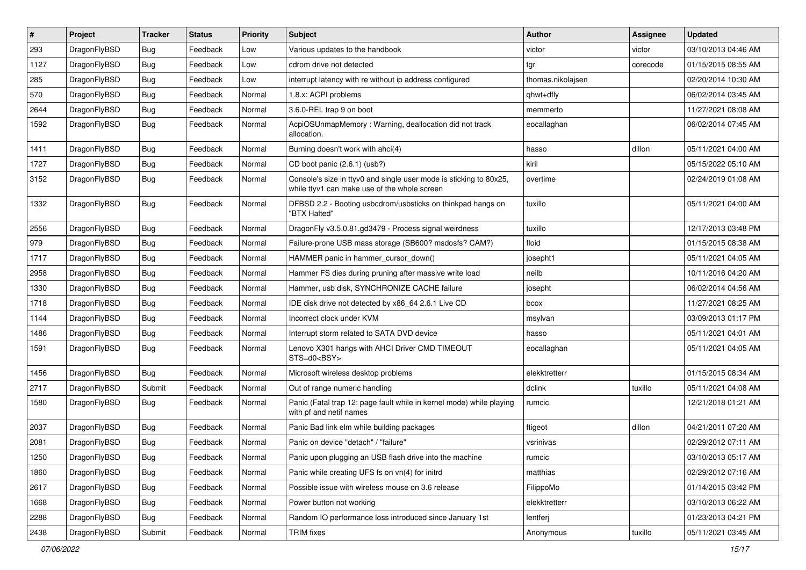| #    | Project      | <b>Tracker</b> | <b>Status</b> | <b>Priority</b> | Subject                                                                                                            | <b>Author</b>     | Assignee | <b>Updated</b>      |
|------|--------------|----------------|---------------|-----------------|--------------------------------------------------------------------------------------------------------------------|-------------------|----------|---------------------|
| 293  | DragonFlyBSD | <b>Bug</b>     | Feedback      | Low             | Various updates to the handbook                                                                                    | victor            | victor   | 03/10/2013 04:46 AM |
| 1127 | DragonFlyBSD | <b>Bug</b>     | Feedback      | Low             | cdrom drive not detected                                                                                           | tgr               | corecode | 01/15/2015 08:55 AM |
| 285  | DragonFlyBSD | <b>Bug</b>     | Feedback      | Low             | interrupt latency with re without ip address configured                                                            | thomas.nikolajsen |          | 02/20/2014 10:30 AM |
| 570  | DragonFlyBSD | <b>Bug</b>     | Feedback      | Normal          | 1.8.x: ACPI problems                                                                                               | qhwt+dfly         |          | 06/02/2014 03:45 AM |
| 2644 | DragonFlyBSD | Bug            | Feedback      | Normal          | 3.6.0-REL trap 9 on boot                                                                                           | memmerto          |          | 11/27/2021 08:08 AM |
| 1592 | DragonFlyBSD | Bug            | Feedback      | Normal          | AcpiOSUnmapMemory: Warning, deallocation did not track<br>allocation.                                              | eocallaghan       |          | 06/02/2014 07:45 AM |
| 1411 | DragonFlyBSD | Bug            | Feedback      | Normal          | Burning doesn't work with ahci(4)                                                                                  | hasso             | dillon   | 05/11/2021 04:00 AM |
| 1727 | DragonFlyBSD | Bug            | Feedback      | Normal          | CD boot panic (2.6.1) (usb?)                                                                                       | kiril             |          | 05/15/2022 05:10 AM |
| 3152 | DragonFlyBSD | Bug            | Feedback      | Normal          | Console's size in ttyv0 and single user mode is sticking to 80x25,<br>while ttyv1 can make use of the whole screen | overtime          |          | 02/24/2019 01:08 AM |
| 1332 | DragonFlyBSD | Bug            | Feedback      | Normal          | DFBSD 2.2 - Booting usbcdrom/usbsticks on thinkpad hangs on<br>"BTX Halted"                                        | tuxillo           |          | 05/11/2021 04:00 AM |
| 2556 | DragonFlyBSD | Bug            | Feedback      | Normal          | DragonFly v3.5.0.81.gd3479 - Process signal weirdness                                                              | tuxillo           |          | 12/17/2013 03:48 PM |
| 979  | DragonFlyBSD | Bug            | Feedback      | Normal          | Failure-prone USB mass storage (SB600? msdosfs? CAM?)                                                              | floid             |          | 01/15/2015 08:38 AM |
| 1717 | DragonFlyBSD | Bug            | Feedback      | Normal          | HAMMER panic in hammer_cursor_down()                                                                               | josepht1          |          | 05/11/2021 04:05 AM |
| 2958 | DragonFlyBSD | Bug            | Feedback      | Normal          | Hammer FS dies during pruning after massive write load                                                             | neilb             |          | 10/11/2016 04:20 AM |
| 1330 | DragonFlyBSD | Bug            | Feedback      | Normal          | Hammer, usb disk, SYNCHRONIZE CACHE failure                                                                        | josepht           |          | 06/02/2014 04:56 AM |
| 1718 | DragonFlyBSD | Bug            | Feedback      | Normal          | IDE disk drive not detected by x86 64 2.6.1 Live CD                                                                | bcox              |          | 11/27/2021 08:25 AM |
| 1144 | DragonFlyBSD | Bug            | Feedback      | Normal          | Incorrect clock under KVM                                                                                          | msylvan           |          | 03/09/2013 01:17 PM |
| 1486 | DragonFlyBSD | <b>Bug</b>     | Feedback      | Normal          | Interrupt storm related to SATA DVD device                                                                         | hasso             |          | 05/11/2021 04:01 AM |
| 1591 | DragonFlyBSD | <b>Bug</b>     | Feedback      | Normal          | Lenovo X301 hangs with AHCI Driver CMD TIMEOUT<br>STS=d0 <bsy></bsy>                                               | eocallaghan       |          | 05/11/2021 04:05 AM |
| 1456 | DragonFlyBSD | Bug            | Feedback      | Normal          | Microsoft wireless desktop problems                                                                                | elekktretterr     |          | 01/15/2015 08:34 AM |
| 2717 | DragonFlyBSD | Submit         | Feedback      | Normal          | Out of range numeric handling                                                                                      | dclink            | tuxillo  | 05/11/2021 04:08 AM |
| 1580 | DragonFlyBSD | Bug            | Feedback      | Normal          | Panic (Fatal trap 12: page fault while in kernel mode) while playing<br>with pf and netif names                    | rumcic            |          | 12/21/2018 01:21 AM |
| 2037 | DragonFlyBSD | Bug            | Feedback      | Normal          | Panic Bad link elm while building packages                                                                         | ftigeot           | dillon   | 04/21/2011 07:20 AM |
| 2081 | DragonFlyBSD | <b>Bug</b>     | Feedback      | Normal          | Panic on device "detach" / "failure"                                                                               | vsrinivas         |          | 02/29/2012 07:11 AM |
| 1250 | DragonFlyBSD | <b>Bug</b>     | Feedback      | Normal          | Panic upon plugging an USB flash drive into the machine                                                            | rumcic            |          | 03/10/2013 05:17 AM |
| 1860 | DragonFlyBSD | <b>Bug</b>     | Feedback      | Normal          | Panic while creating UFS fs on vn(4) for initrd                                                                    | matthias          |          | 02/29/2012 07:16 AM |
| 2617 | DragonFlyBSD | <b>Bug</b>     | Feedback      | Normal          | Possible issue with wireless mouse on 3.6 release                                                                  | FilippoMo         |          | 01/14/2015 03:42 PM |
| 1668 | DragonFlyBSD | <b>Bug</b>     | Feedback      | Normal          | Power button not working                                                                                           | elekktretterr     |          | 03/10/2013 06:22 AM |
| 2288 | DragonFlyBSD | <b>Bug</b>     | Feedback      | Normal          | Random IO performance loss introduced since January 1st                                                            | lentferj          |          | 01/23/2013 04:21 PM |
| 2438 | DragonFlyBSD | Submit         | Feedback      | Normal          | <b>TRIM</b> fixes                                                                                                  | Anonymous         | tuxillo  | 05/11/2021 03:45 AM |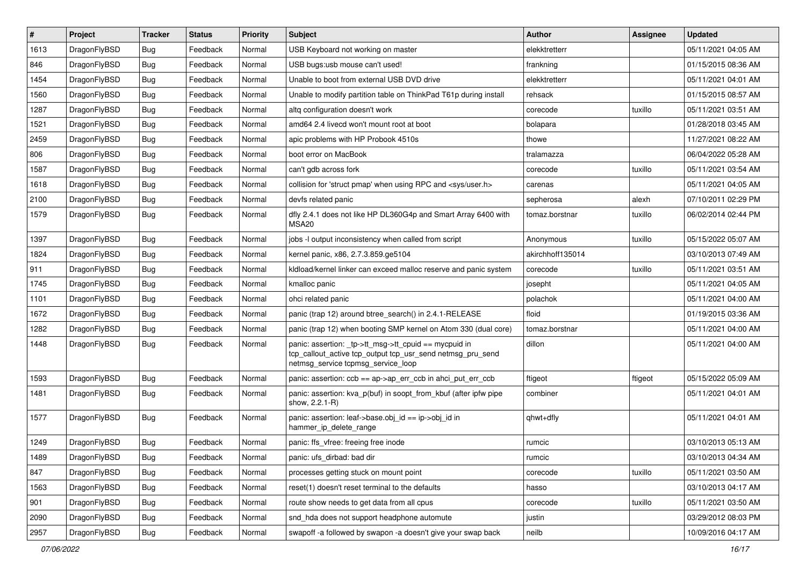| $\vert$ # | Project      | <b>Tracker</b> | <b>Status</b> | <b>Priority</b> | Subject                                                                                                                                                   | <b>Author</b>    | <b>Assignee</b> | <b>Updated</b>      |
|-----------|--------------|----------------|---------------|-----------------|-----------------------------------------------------------------------------------------------------------------------------------------------------------|------------------|-----------------|---------------------|
| 1613      | DragonFlyBSD | Bug            | Feedback      | Normal          | USB Keyboard not working on master                                                                                                                        | elekktretterr    |                 | 05/11/2021 04:05 AM |
| 846       | DragonFlyBSD | Bug            | Feedback      | Normal          | USB bugs:usb mouse can't used!                                                                                                                            | frankning        |                 | 01/15/2015 08:36 AM |
| 1454      | DragonFlyBSD | <b>Bug</b>     | Feedback      | Normal          | Unable to boot from external USB DVD drive                                                                                                                | elekktretterr    |                 | 05/11/2021 04:01 AM |
| 1560      | DragonFlyBSD | <b>Bug</b>     | Feedback      | Normal          | Unable to modify partition table on ThinkPad T61p during install                                                                                          | rehsack          |                 | 01/15/2015 08:57 AM |
| 1287      | DragonFlyBSD | Bug            | Feedback      | Normal          | altq configuration doesn't work                                                                                                                           | corecode         | tuxillo         | 05/11/2021 03:51 AM |
| 1521      | DragonFlyBSD | <b>Bug</b>     | Feedback      | Normal          | amd64 2.4 livecd won't mount root at boot                                                                                                                 | bolapara         |                 | 01/28/2018 03:45 AM |
| 2459      | DragonFlyBSD | <b>Bug</b>     | Feedback      | Normal          | apic problems with HP Probook 4510s                                                                                                                       | thowe            |                 | 11/27/2021 08:22 AM |
| 806       | DragonFlyBSD | <b>Bug</b>     | Feedback      | Normal          | boot error on MacBook                                                                                                                                     | tralamazza       |                 | 06/04/2022 05:28 AM |
| 1587      | DragonFlyBSD | <b>Bug</b>     | Feedback      | Normal          | can't gdb across fork                                                                                                                                     | corecode         | tuxillo         | 05/11/2021 03:54 AM |
| 1618      | DragonFlyBSD | Bug            | Feedback      | Normal          | collision for 'struct pmap' when using RPC and <sys user.h=""></sys>                                                                                      | carenas          |                 | 05/11/2021 04:05 AM |
| 2100      | DragonFlyBSD | <b>Bug</b>     | Feedback      | Normal          | devfs related panic                                                                                                                                       | sepherosa        | alexh           | 07/10/2011 02:29 PM |
| 1579      | DragonFlyBSD | <b>Bug</b>     | Feedback      | Normal          | dfly 2.4.1 does not like HP DL360G4p and Smart Array 6400 with<br>MSA <sub>20</sub>                                                                       | tomaz.borstnar   | tuxillo         | 06/02/2014 02:44 PM |
| 1397      | DragonFlyBSD | Bug            | Feedback      | Normal          | jobs -I output inconsistency when called from script                                                                                                      | Anonymous        | tuxillo         | 05/15/2022 05:07 AM |
| 1824      | DragonFlyBSD | <b>Bug</b>     | Feedback      | Normal          | kernel panic, x86, 2.7.3.859.ge5104                                                                                                                       | akirchhoff135014 |                 | 03/10/2013 07:49 AM |
| 911       | DragonFlyBSD | <b>Bug</b>     | Feedback      | Normal          | kldload/kernel linker can exceed malloc reserve and panic system                                                                                          | corecode         | tuxillo         | 05/11/2021 03:51 AM |
| 1745      | DragonFlyBSD | <b>Bug</b>     | Feedback      | Normal          | kmalloc panic                                                                                                                                             | josepht          |                 | 05/11/2021 04:05 AM |
| 1101      | DragonFlyBSD | Bug            | Feedback      | Normal          | ohci related panic                                                                                                                                        | polachok         |                 | 05/11/2021 04:00 AM |
| 1672      | DragonFlyBSD | <b>Bug</b>     | Feedback      | Normal          | panic (trap 12) around btree search() in 2.4.1-RELEASE                                                                                                    | floid            |                 | 01/19/2015 03:36 AM |
| 1282      | DragonFlyBSD | <b>Bug</b>     | Feedback      | Normal          | panic (trap 12) when booting SMP kernel on Atom 330 (dual core)                                                                                           | tomaz.borstnar   |                 | 05/11/2021 04:00 AM |
| 1448      | DragonFlyBSD | Bug            | Feedback      | Normal          | panic: assertion: _tp->tt_msg->tt_cpuid == mycpuid in<br>tcp_callout_active tcp_output tcp_usr_send netmsg_pru_send<br>netmsg_service tcpmsg_service_loop | dillon           |                 | 05/11/2021 04:00 AM |
| 1593      | DragonFlyBSD | Bug            | Feedback      | Normal          | panic: assertion: $\cosh ==$ ap->ap err $\cosh$ in ahci put err $\cosh$                                                                                   | ftigeot          | ftigeot         | 05/15/2022 05:09 AM |
| 1481      | DragonFlyBSD | Bug            | Feedback      | Normal          | panic: assertion: kva_p(buf) in soopt_from_kbuf (after ipfw pipe<br>show, 2.2.1-R)                                                                        | combiner         |                 | 05/11/2021 04:01 AM |
| 1577      | DragonFlyBSD | Bug            | Feedback      | Normal          | panic: assertion: leaf->base.obj_id == ip->obj_id in<br>hammer_ip_delete_range                                                                            | qhwt+dfly        |                 | 05/11/2021 04:01 AM |
| 1249      | DragonFlyBSD | <b>Bug</b>     | Feedback      | Normal          | panic: ffs_vfree: freeing free inode                                                                                                                      | rumcic           |                 | 03/10/2013 05:13 AM |
| 1489      | DragonFlyBSD | <b>Bug</b>     | Feedback      | Normal          | panic: ufs_dirbad: bad dir                                                                                                                                | rumcic           |                 | 03/10/2013 04:34 AM |
| 847       | DragonFlyBSD | Bug            | Feedback      | Normal          | processes getting stuck on mount point                                                                                                                    | corecode         | tuxillo         | 05/11/2021 03:50 AM |
| 1563      | DragonFlyBSD | <b>Bug</b>     | Feedback      | Normal          | reset(1) doesn't reset terminal to the defaults                                                                                                           | hasso            |                 | 03/10/2013 04:17 AM |
| 901       | DragonFlyBSD | <b>Bug</b>     | Feedback      | Normal          | route show needs to get data from all cpus                                                                                                                | corecode         | tuxillo         | 05/11/2021 03:50 AM |
| 2090      | DragonFlyBSD | <b>Bug</b>     | Feedback      | Normal          | snd_hda does not support headphone automute                                                                                                               | justin           |                 | 03/29/2012 08:03 PM |
| 2957      | DragonFlyBSD | <b>Bug</b>     | Feedback      | Normal          | swapoff -a followed by swapon -a doesn't give your swap back                                                                                              | neilb            |                 | 10/09/2016 04:17 AM |